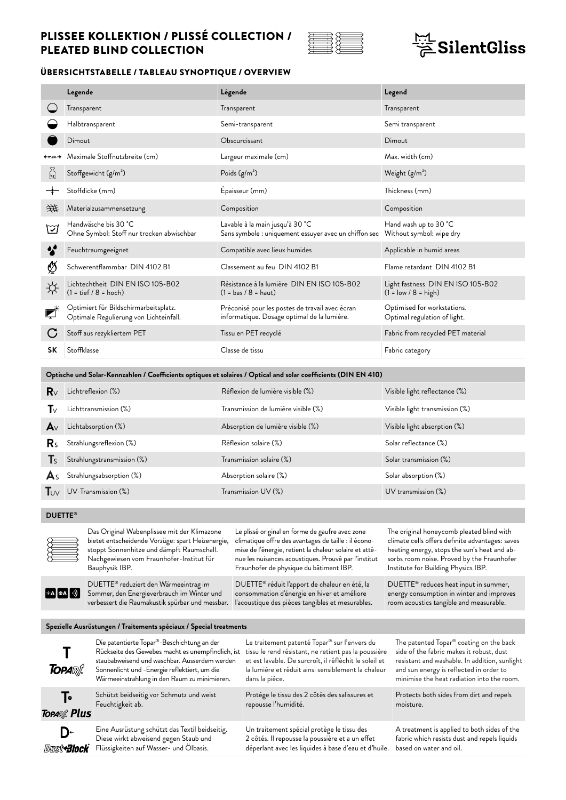

## $\frac{171}{25}$ SilentGliss

### ÜBERSICHTSTABELLE / TABLEAU SYNOPTIQUE / OVERVIEW

|                                | Legende                                                                         | Légende                                                                                                         | Legend                                                      |
|--------------------------------|---------------------------------------------------------------------------------|-----------------------------------------------------------------------------------------------------------------|-------------------------------------------------------------|
|                                | Transparent                                                                     | Transparent                                                                                                     | Transparent                                                 |
|                                | Halbtransparent                                                                 | Semi-transparent                                                                                                | Semi transparent                                            |
|                                | Dimout                                                                          | Obscurcissant                                                                                                   | Dimout                                                      |
| ←max.→                         | Maximale Stoffnutzbreite (cm)                                                   | Largeur maximale (cm)                                                                                           | Max. width (cm)                                             |
| $\sum_{\mathbf{k} \mathbf{g}}$ | Stoffgewicht (g/m <sup>2</sup> )                                                | Poids $(g/m2)$                                                                                                  | Weight $(g/m2)$                                             |
|                                | Stoffdicke (mm)                                                                 | Epaisseur (mm)                                                                                                  | Thickness (mm)                                              |
| 进                              | Materialzusammensetzung                                                         | Composition                                                                                                     | Composition                                                 |
| ☑                              | Handwäsche bis 30 °C<br>Ohne Symbol: Stoff nur trocken abwischbar               | Lavable à la main jusqu'à 30 °C<br>Sans symbole : uniquement essuyer avec un chiffon sec                        | Hand wash up to 30 °C<br>Without symbol: wipe dry           |
|                                | Feuchtraumgeeignet                                                              | Compatible avec lieux humides                                                                                   | Applicable in humid areas                                   |
| Ø                              | Schwerentflammbar DIN 4102 B1                                                   | Classement au feu DIN 4102 B1                                                                                   | Flame retardant DIN 4102 B1                                 |
| ☆                              | Lichtechtheit DIN EN ISO 105-B02<br>$(1 = tief / 8 = hoch)$                     | Résistance à la lumière DIN EN ISO 105-B02<br>$(1 = bas / 8 = haut)$                                            | Light fastness DIN EN ISO 105-B02<br>$(1 = low / 8 = high)$ |
|                                | Optimiert für Bildschirmarbeitsplatz.<br>Optimale Regulierung von Lichteinfall. | Préconisé pour les postes de travail avec écran<br>informatique. Dosage optimal de la lumière.                  | Optimised for workstations.<br>Optimal regulation of light. |
|                                | Stoff aus rezykliertem PET                                                      | Tissu en PET recyclé                                                                                            | Fabric from recycled PET material                           |
| SΚ                             | Stoffklasse                                                                     | Classe de tissu                                                                                                 | Fabric category                                             |
|                                |                                                                                 |                                                                                                                 |                                                             |
|                                |                                                                                 | Optische und Solar-Kennzahlen / Coefficients optiques et solaires / Optical and solar coefficients (DIN EN 410) |                                                             |
| $\mathsf{R}_{\lor}$            | Lichtreflexion (%)                                                              | Réflexion de lumière visible (%)                                                                                | Visible light reflectance (%)                               |
| ∎∨                             | Lichttransmission (%)                                                           | Transmission de lumière visible (%)                                                                             | Visible light transmission (%)                              |
| $\mathsf{A}\vee$               | Lichtabsorption (%)                                                             | Absorption de lumière visible (%)                                                                               | Visible light absorption (%)                                |

| $\mathsf{R}_{\mathsf{S}}$ Strahlungsreflexion (%)         | Réflexion solaire (%)    | Solar reflectance (%)  |
|-----------------------------------------------------------|--------------------------|------------------------|
| $\mathsf{T}_\mathsf{S}$ Strahlungstransmission (%)        | Transmission solaire (%) | Solar transmission (%) |
| $\mathbf{A}_{\text{S}}$ Strahlungsabsorption (%)          | Absorption solaire (%)   | Solar absorption (%)   |
| $\overline{\mathsf{T}}_{\mathsf{UV}}$ UV-Transmission (%) | Transmission UV (%)      | UV transmission (%)    |

#### **DUETTE®**



 $*$ **A** $\bullet$ **A** $\circ$ 

Das Original Wabenplissee mit der Klimazone bietet entscheidende Vorzüge: spart Heizenergie, stoppt Sonnenhitze und dämpft Raumschall. Nachgewiesen vom Fraunhofer-Institut für Bauphysik IBP. DUETTE® reduziert den Wärmeeintrag im Sommer, den Energieverbrauch im Winter und

Le plissé original en forme de gaufre avec zone climatique offre des avantages de taille : il économise de l'énergie, retient la chaleur solaire et atténue les nuisances acoustiques. Prouvé par l'institut Fraunhofer de physique du bâtiment IBP. DUETTE® réduit l'apport de chaleur en été, la

consommation d'énergie en hiver et améliore l'acoustique des pièces tangibles et mesurables. The original honeycomb pleated blind with climate cells offers definite advantages: saves heating energy, stops the sun's heat and absorbs room noise. Proved by the Fraunhofer Institute for Building Physics IBP.

DUETTE® reduces heat input in summer, energy consumption in winter and improves room acoustics tangible and measurable.

#### **Spezielle Ausrüstungen / Traitements spéciaux / Special treatments**

verbessert die Raumakustik spürbar und messbar.

| <b>TOPARA</b>                              | Die patentierte Topar®-Beschichtung an der                                                                                        | Le traitement patenté Topar® sur l'envers du                                                                                                          | The patented Topar® coating on the back                                                                                |
|--------------------------------------------|-----------------------------------------------------------------------------------------------------------------------------------|-------------------------------------------------------------------------------------------------------------------------------------------------------|------------------------------------------------------------------------------------------------------------------------|
|                                            | Rückseite des Gewebes macht es unempfindlich, ist                                                                                 | tissu le rend résistant, ne retient pas la poussière                                                                                                  | side of the fabric makes it robust, dust                                                                               |
|                                            | staubabweisend und waschbar. Ausserdem werden                                                                                     | et est lavable. De surcroît, il réfléchit le soleil et                                                                                                | resistant and washable. In addition, sunlight                                                                          |
|                                            | Sonnenlicht und -Energie reflektiert, um die                                                                                      | la lumière et réduit ainsi sensiblement la chaleur                                                                                                    | and sun energy is reflected in order to                                                                                |
|                                            | Wärmeeinstrahlung in den Raum zu minimieren.                                                                                      | dans la pièce.                                                                                                                                        | minimise the heat radiation into the room.                                                                             |
| Т۰                                         | Schützt beidseitig vor Schmutz und weist                                                                                          | Protège le tissu des 2 côtés des salissures et                                                                                                        | Protects both sides from dirt and repels                                                                               |
| <b>TOPARA</b> Plus                         | Feuchtigkeit ab.                                                                                                                  | repousse l'humidité.                                                                                                                                  | moisture.                                                                                                              |
| D÷<br>Dust <sup>4</sup> 3lock <sup>*</sup> | Eine Ausrüstung schützt das Textil beidseitig.<br>Diese wirkt abweisend gegen Staub und<br>Flüssigkeiten auf Wasser- und Ölbasis. | Un traitement spécial protège le tissu des<br>2 côtés. Il repousse la poussière et a un effet<br>déperlant avec les liquides à base d'eau et d'huile. | A treatment is applied to both sides of the<br>fabric which resists dust and repels liquids<br>based on water and oil. |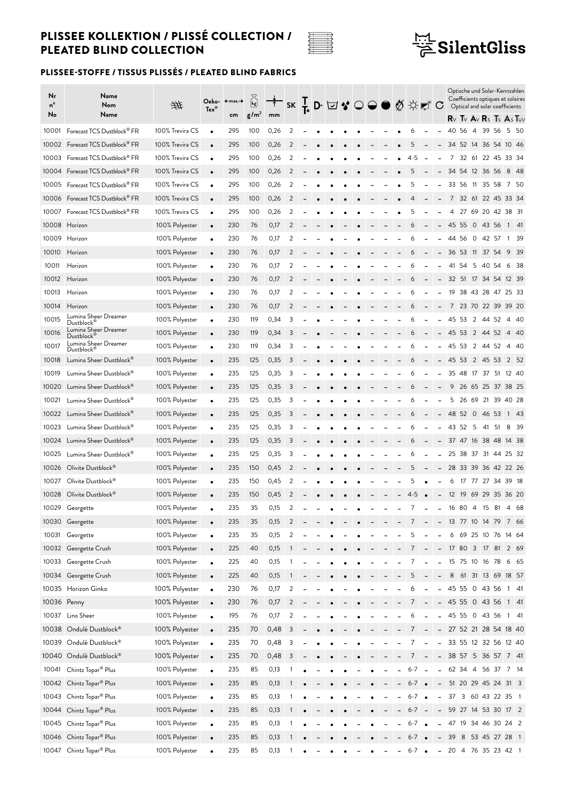

# $\frac{\frac{1.71}{1.7}}{\cancel{\text{P}}}$ SilentGliss

| Nr<br>nº<br>No | Name<br>Nom<br>Name                               | 垪               | $Tex^*$                | Oeko- ←max.→<br>cm | $\vec{k}$<br>g/m <sup>2</sup> | mm   |                         |  | K ├D ⊠ ♥ ○ ● ◎ ☆ぼ C |   |  |                          |                   |                          |                          |                         |          |                |                |     | Optische und Solar-Kennzahlen<br>Coefficients optiques et solaires<br>Optical and solar coefficients<br>$R_V$ Tv $A_V$ Rs Ts $A_S$ Tuv |      |
|----------------|---------------------------------------------------|-----------------|------------------------|--------------------|-------------------------------|------|-------------------------|--|---------------------|---|--|--------------------------|-------------------|--------------------------|--------------------------|-------------------------|----------|----------------|----------------|-----|----------------------------------------------------------------------------------------------------------------------------------------|------|
| 10001          | Forecast TCS Dustblock® FR                        | 100% Trevira CS | $\bullet$              | 295                | 100                           | 0,26 | 2                       |  |                     |   |  |                          | 6                 |                          |                          | 40                      | 56       | $\overline{4}$ | 39 56          |     | 5 50                                                                                                                                   |      |
|                | 10002 Forecast TCS Dustblock® FR                  | 100% Trevira CS | $\bullet$              | 295                | 100                           | 0,26 | 2                       |  |                     |   |  |                          | 5                 |                          | $\overline{\phantom{a}}$ |                         |          |                | 34 52 14 36 54 |     | 10 46                                                                                                                                  |      |
|                | 10003 Forecast TCS Dustblock® FR                  | 100% Trevira CS | $\bullet$              | 295                | 100                           | 0,26 | 2                       |  |                     |   |  |                          | $4-5$             |                          |                          | 7                       | 32 61    |                | 22 45          |     | 33 34                                                                                                                                  |      |
|                | 10004 Forecast TCS Dustblock <sup>®</sup> FR      | 100% Trevira CS | $\bullet$              | 295                | 100                           | 0,26 | 2                       |  |                     |   |  |                          | 5                 |                          |                          |                         |          |                | 34 54 12 36 56 |     | 8 48                                                                                                                                   |      |
| 10005          | Forecast TCS Dustblock <sup>®</sup> FR            | 100% Trevira CS | $\bullet$              | 295                | 100                           | 0,26 | 2                       |  |                     |   |  |                          | 5                 |                          | $\overline{a}$           |                         |          |                | 33 56 11 35 58 |     | 7 50                                                                                                                                   |      |
|                | 10006 Forecast TCS Dustblock® FR                  | 100% Trevira CS | $\bullet$              | 295                | 100                           | 0,26 | 2                       |  |                     |   |  |                          | 4                 |                          | $\overline{\phantom{0}}$ |                         |          |                |                |     | 7 32 61 22 45 33 34                                                                                                                    |      |
|                | 10007 Forecast TCS Dustblock® FR                  | 100% Trevira CS | $\bullet$              | 295                | 100                           | 0,26 | 2                       |  |                     |   |  |                          | 5                 |                          |                          | 4                       |          |                |                |     | 27 69 20 42 38 31                                                                                                                      |      |
|                | 10008 Horizon                                     | 100% Polyester  | $\bullet$              | 230                | 76                            | 0,17 | 2                       |  |                     |   |  |                          | 6                 |                          | $\overline{\phantom{0}}$ | 45 55                   |          |                | $0 \t43 \t56$  |     | 1 41                                                                                                                                   |      |
| 10009          | Horizon                                           | 100% Polyester  | $\bullet$              | 230                | 76                            | 0,17 | 2                       |  |                     |   |  |                          |                   |                          |                          | 44                      | 56       | $\circ$        | 42 57          |     | 1                                                                                                                                      | -39  |
| 10010          | Horizon                                           | 100% Polyester  | $\bullet$              | 230                | 76                            | 0,17 | 2                       |  |                     |   |  |                          | 6                 |                          |                          |                         | 36 53 11 |                | 37 54          |     | 9                                                                                                                                      | - 39 |
| 10011          | Horizon                                           | 100% Polyester  | $\bullet$              | 230                | 76                            | 0,17 | 2                       |  |                     |   |  |                          | 6                 |                          | $\overline{\phantom{0}}$ | 41                      | 54       | 5              | 40 54          |     | 6                                                                                                                                      | - 38 |
| 10012          | Horizon                                           | 100% Polyester  | $\bullet$              | 230                | 76                            | 0,17 | 2                       |  |                     |   |  |                          | 6                 |                          |                          |                         |          |                | 32 51 17 34 54 |     | 12 39                                                                                                                                  |      |
| 10013          | Horizon                                           | 100% Polyester  | $\bullet$              | 230                | 76                            | 0,17 | 2                       |  |                     |   |  |                          | 6                 |                          |                          |                         |          |                |                |     | 19 38 43 28 47 25 33                                                                                                                   |      |
| 10014          | Horizon                                           | 100% Polyester  | $\bullet$              | 230                | 76                            | 0,17 | 2                       |  |                     |   |  |                          | 6                 |                          |                          | 7                       |          |                |                |     | 23 70 22 39 39 20                                                                                                                      |      |
| 10015          | Lumina Sheer Dreamer                              | 100% Polyester  | $\bullet$              | 230                | 119                           | 0,34 | 3                       |  |                     |   |  |                          |                   |                          |                          | 45                      | -53      | 2              | 44 52          |     | 4                                                                                                                                      | -40  |
| 10016          | Dustblock <sup>®</sup><br>Lumina Sheer Dreamer    | 100% Polyester  | $\bullet$              | 230                | 119                           | 0,34 | 3                       |  |                     |   |  |                          | 6                 |                          |                          |                         |          |                | 45 53 2 44 52  |     | 4 40                                                                                                                                   |      |
| 10017          | Dustblock <sup>®</sup><br>Lumina Sheer Dreamer    | 100% Polyester  | $\bullet$              | 230                | 119                           | 0,34 | 3                       |  |                     |   |  |                          | 6                 |                          |                          | 45                      | 53       | $\overline{2}$ | 44 52          |     | 4 40                                                                                                                                   |      |
| 10018          | Dustblock <sup>®</sup><br>Lumina Sheer Dustblock® | 100% Polyester  | $\bullet$              | 235                | 125                           | 0,35 | 3                       |  |                     |   |  |                          | 6                 |                          |                          | 45 53 2 45 53           |          |                |                |     | 2 52                                                                                                                                   |      |
| 10019          | Lumina Sheer Dustblock®                           | 100% Polyester  | $\bullet$              | 235                | 125                           | 0,35 | 3                       |  |                     |   |  |                          | 6                 |                          | $\overline{\phantom{0}}$ |                         | 35 48 17 |                | 37             |     | 51 12 40                                                                                                                               |      |
| 10020          | Lumina Sheer Dustblock®                           | 100% Polyester  |                        | 235                | 125                           | 0,35 | 3                       |  |                     |   |  |                          | 6                 |                          |                          | 9                       |          |                |                |     | 26 65 25 37 38 25                                                                                                                      |      |
| 10021          | Lumina Sheer Dustblock®                           | 100% Polyester  | $\bullet$              | 235                | 125                           | 0,35 | 3                       |  |                     |   |  |                          | 6                 |                          |                          |                         |          |                |                |     | 5 26 69 21 39 40 28                                                                                                                    |      |
| 10022          | Lumina Sheer Dustblock®                           | 100% Polyester  | $\bullet$              | 235                | 125                           | 0,35 | 3                       |  |                     |   |  |                          | 6                 |                          | $\overline{\phantom{a}}$ |                         |          |                | 48 52 0 46 53  |     | 1 43                                                                                                                                   |      |
| 10023          | Lumina Sheer Dustblock®                           | 100% Polyester  |                        | 235                | 125                           | 0,35 | 3                       |  |                     |   |  |                          | 6                 |                          |                          | 43 52                   |          | - 5            | 41             | -51 | 8                                                                                                                                      | - 39 |
| 10024          | Lumina Sheer Dustblock®                           | 100% Polyester  | $\bullet$<br>$\bullet$ | 235                | 125                           | 0,35 | 3                       |  |                     |   |  |                          | 6                 |                          |                          |                         |          |                | 37 47 16 38 48 |     | 14 38                                                                                                                                  |      |
| 10025          | Lumina Sheer Dustblock®                           | 100% Polyester  | $\bullet$              | 235                | 125                           | 0,35 | 3                       |  |                     |   |  |                          | 6                 |                          | $\overline{\phantom{0}}$ | 25                      | 38 37    |                | 31 44          |     | 25 32                                                                                                                                  |      |
|                | 10026 Olivite Dustblock <sup>®</sup>              | 100% Polyester  | $\bullet$              | 235                | 150                           | 0,45 | 2                       |  |                     |   |  |                          | 5                 |                          |                          |                         |          |                |                |     | 28 33 39 36 42 22 26                                                                                                                   |      |
| 10027          | Olivite Dustblock <sup>®</sup>                    | 100% Polyester  | $\bullet$              | 235                | 150                           | 0,45 | 2                       |  |                     |   |  |                          | 5                 |                          |                          | 6                       |          |                |                |     | 17 77 27 34 39 18                                                                                                                      |      |
| 10028          | Olivite Dustblock®                                | 100% Polyester  | $\bullet$              | 235                | 150                           | 0,45 | 2                       |  |                     |   |  |                          | $4 - 5$           | $\bullet$                | $\qquad \qquad -$        | 12                      | 19       |                |                |     | 69 29 35 36 20                                                                                                                         |      |
|                | 10029 Georgette                                   | 100% Polyester  |                        | 235                | 35                            | 0,15 | 2                       |  |                     |   |  |                          | 7 <sup>7</sup>    | $\sigma_{\rm{max}}$      |                          |                         |          |                |                |     | 16 80 4 15 81 4 68                                                                                                                     |      |
|                | 10030 Georgette                                   | 100% Polyester  | $\bullet$              | 235                | 35                            | 0,15 | 2                       |  | $\bullet$           | ٠ |  |                          |                   | $7 -$                    |                          | $-$ 13 77 10 14 79 7 66 |          |                |                |     |                                                                                                                                        |      |
|                | 10031 Georgette                                   | 100% Polyester  | $\bullet$              | 235                | 35                            | 0,15 | $\overline{2}$          |  |                     |   |  |                          | 5                 | $\overline{\phantom{a}}$ | $\overline{\phantom{a}}$ |                         |          |                |                |     | 6 69 25 10 76 14 64                                                                                                                    |      |
|                | 10032 Georgette Crush                             | 100% Polyester  | $\bullet$              | 225                | 40                            | 0,15 | $\overline{1}$          |  |                     |   |  |                          |                   | $7 - 178031781269$       |                          |                         |          |                |                |     |                                                                                                                                        |      |
|                | 10033 Georgette Crush                             | 100% Polyester  | $\bullet$              | 225                | 40                            | 0,15 | 1                       |  |                     |   |  |                          | 7                 | $\overline{\phantom{a}}$ | $\overline{\phantom{a}}$ |                         |          |                |                |     | 15 75 10 16 78 6 65                                                                                                                    |      |
|                | 10034 Georgette Crush                             | 100% Polyester  | $\bullet$              | 225                | 40                            | 0,15 |                         |  |                     |   |  |                          | 5                 |                          | $\qquad \qquad -$        |                         |          |                |                |     | 8 61 31 13 69 18 57                                                                                                                    |      |
|                | 10035 Horizon Ginko                               | 100% Polyester  | $\bullet$              | 230                | 76                            | 0,17 | $\overline{c}$          |  |                     |   |  |                          | 6                 |                          |                          | - 45 55 0 43 56 1 41    |          |                |                |     |                                                                                                                                        |      |
| 10036 Penny    |                                                   | 100% Polyester  | $\bullet$              | 230                | 76                            | 0,17 | 2                       |  |                     |   |  |                          | 7                 | $\overline{a}$           |                          | $-455504356141$         |          |                |                |     |                                                                                                                                        |      |
|                | 10037 Lino Sheer                                  | 100% Polyester  | $\bullet$              | 195                | 76                            | 0,17 | 2                       |  |                     |   |  |                          | 6                 |                          | $\overline{\phantom{0}}$ |                         |          |                |                |     | 45 55 0 43 56 1 41                                                                                                                     |      |
|                | 10038 Ondulé Dustblock®                           | 100% Polyester  | $\bullet$              | 235                | 70                            | 0,48 | 3                       |  |                     |   |  |                          | 7                 | $\overline{\phantom{a}}$ | $\overline{\phantom{a}}$ | 27 52 21 28 54 18 40    |          |                |                |     |                                                                                                                                        |      |
|                | 10039 Ondulé Dustblock®                           | 100% Polyester  | $\bullet$              | 235                | 70                            | 0,48 | $\overline{\mathbf{3}}$ |  |                     |   |  |                          |                   |                          | $\overline{\phantom{a}}$ |                         |          |                |                |     | 33 55 12 32 56 12 40                                                                                                                   |      |
|                | 10040 Ondulé Dustblock®                           | 100% Polyester  | $\bullet$              | 235                | 70                            | 0,48 | $\overline{\mathbf{3}}$ |  |                     |   |  |                          | 7                 |                          |                          | - 38 57 5 36 57 7 41    |          |                |                |     |                                                                                                                                        |      |
|                | 10041 Chintz Topar <sup>®</sup> Plus              | 100% Polyester  | $\bullet$              | 235                | 85                            | 0,13 | 1                       |  |                     |   |  | -                        | $6-7 -$           |                          | $\blacksquare$           |                         |          |                |                |     | 62 34 4 56 37 7 14                                                                                                                     |      |
|                | 10042 Chintz Topar <sup>®</sup> Plus              | 100% Polyester  | $\bullet$              | 235                | 85                            | 0,13 | $\overline{1}$          |  |                     |   |  | $\overline{\phantom{a}}$ | $6-7$ $\bullet$   |                          | $\overline{\phantom{a}}$ | 51 20 29 45 24 31 3     |          |                |                |     |                                                                                                                                        |      |
|                | 10043 Chintz Topar <sup>®</sup> Plus              | 100% Polyester  | $\bullet$              | 235                | 85                            | 0,13 | 1                       |  |                     |   |  |                          | $6 - 7$ $\bullet$ |                          | $\qquad \qquad -$        |                         |          |                |                |     | 37 3 60 43 22 35 1                                                                                                                     |      |
|                | 10044 Chintz Topar <sup>®</sup> Plus              | 100% Polyester  | $\bullet$              | 235                | 85                            | 0,13 | 1                       |  |                     |   |  |                          | $6-7 -$           |                          | $\overline{\phantom{a}}$ |                         |          |                |                |     | 59 27 14 53 30 17 2                                                                                                                    |      |
|                | 10045 Chintz Topar <sup>®</sup> Plus              | 100% Polyester  | $\bullet$              | 235                | 85                            | 0,13 |                         |  |                     |   |  |                          | $6 - 7$           |                          |                          |                         |          |                |                |     | 47 19 34 46 30 24 2                                                                                                                    |      |
|                | 10046 Chintz Topar <sup>®</sup> Plus              | 100% Polyester  | $\bullet$              | 235                | 85                            | 0,13 | 1                       |  |                     |   |  |                          | $6 - 7$ $\bullet$ |                          | $\qquad \qquad -$        | 39 8 53 45 27 28 1      |          |                |                |     |                                                                                                                                        |      |
|                | 10047 Chintz Topar <sup>®</sup> Plus              | 100% Polyester  | $\bullet$              | 235                | 85                            | 0,13 | 1                       |  |                     |   |  | -                        | $6 - 7$ $\bullet$ |                          | $\overline{\phantom{a}}$ |                         |          |                |                |     | 20 4 76 35 23 42 1                                                                                                                     |      |
|                |                                                   |                 |                        |                    |                               |      |                         |  |                     |   |  |                          |                   |                          |                          |                         |          |                |                |     |                                                                                                                                        |      |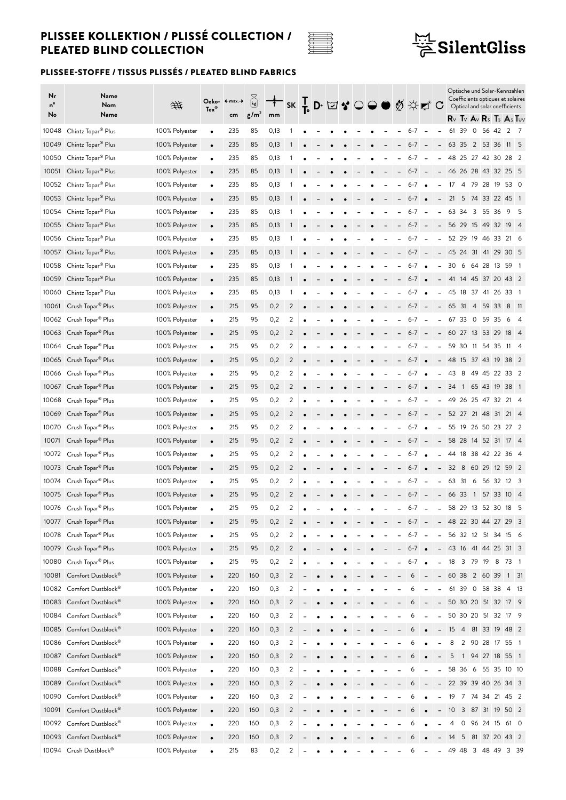

## $\frac{\frac{1}{111}}{\overline{6}}$ SilentGliss

| Nr<br>nº<br>No | Name<br>Nom<br>Name                                                          | 垪                                | $Tex^*$   | Oeko- ←max.→<br>cm | $\begin{bmatrix} k_1 \\ k_2 \end{bmatrix}$<br>g/m <sup>2</sup> | <sup>╈</sup> K ┞ Ď Xi ? ○ ● Ø ☆┏ C<br>mm |                |                          |           |           |   |           |                          |                              |                          |                                                      |                                                       | Optische und Solar-Kennzahlen<br>Coefficients optiques et solaires<br>Optical and solar coefficients |                 |            |     |
|----------------|------------------------------------------------------------------------------|----------------------------------|-----------|--------------------|----------------------------------------------------------------|------------------------------------------|----------------|--------------------------|-----------|-----------|---|-----------|--------------------------|------------------------------|--------------------------|------------------------------------------------------|-------------------------------------------------------|------------------------------------------------------------------------------------------------------|-----------------|------------|-----|
| 10048          | Chintz Topar <sup>®</sup> Plus                                               | 100% Polyester                   |           | 235                | 85                                                             | 0,13                                     |                |                          |           |           |   |           |                          | $6 - 7$                      | $\sim$                   |                                                      | 61                                                    | $R_V$ Tv $A_V$ $R_S$ Ts $A_S$ Tuv<br>39                                                              | 0 56 42 2 7     |            |     |
| 10049          | Chintz Topar <sup>®</sup> Plus                                               | 100% Polyester                   | $\bullet$ | 235                | 85                                                             | 0,13                                     |                |                          |           |           |   |           | $\blacksquare$           | $6-7 -$                      |                          |                                                      | $-6335$ 2 53 36 11 5                                  |                                                                                                      |                 |            |     |
| 10050          | Chintz Topar® Plus                                                           | 100% Polyester                   | $\bullet$ | 235                | 85                                                             | 0,13                                     |                |                          |           |           |   |           |                          | $6 - 7$                      |                          | $\overline{\phantom{a}}$                             |                                                       | 48 25 27 42 30 28 2                                                                                  |                 |            |     |
|                | 10051 Chintz Topar <sup>®</sup> Plus                                         |                                  | $\bullet$ |                    | 85                                                             |                                          |                |                          |           |           |   |           |                          | $6-7 -$                      |                          |                                                      |                                                       |                                                                                                      |                 |            |     |
|                |                                                                              | 100% Polyester                   | $\bullet$ | 235<br>235         | 85                                                             | 0,13                                     |                |                          |           |           |   |           |                          | $6 - 7$                      |                          |                                                      | - 46 26 28 43 32 25 5<br>17 4 79 28 19 53 0           |                                                                                                      |                 |            |     |
|                | 10052 Chintz Topar <sup>®</sup> Plus                                         | 100% Polyester                   | $\bullet$ | 235                |                                                                | 0,13                                     | 1              |                          |           |           |   |           |                          | $6 - 7$ $\bullet$            | $\bullet$                | $\overline{\phantom{a}}$<br>$\overline{\phantom{a}}$ |                                                       | 21 5 74 33 22 45 1                                                                                   |                 |            |     |
|                | 10053 Chintz Topar <sup>®</sup> Plus<br>10054 Chintz Topar <sup>®</sup> Plus | 100% Polyester<br>100% Polyester | $\bullet$ | 235                | 85<br>85                                                       | 0,13<br>0,13                             |                |                          |           |           |   |           |                          | $6-7 -$                      |                          | $\frac{1}{2}$                                        |                                                       | 63 34 3 55 36                                                                                        |                 | 95         |     |
|                |                                                                              | 100% Polyester                   | $\bullet$ | 235                | 85                                                             | 0,13                                     |                |                          |           |           |   |           |                          | $6 - 7$                      | $\sim$ $-$               | $\overline{\phantom{a}}$                             |                                                       | 56 29 15 49 32 19 4                                                                                  |                 |            |     |
|                | 10055 Chintz Topar <sup>®</sup> Plus<br>10056 Chintz Topar <sup>®</sup> Plus | 100% Polyester                   | $\bullet$ | 235                | 85                                                             |                                          |                |                          |           |           |   |           |                          | $6 - 7$                      | $\overline{\phantom{a}}$ | $\overline{\phantom{a}}$                             |                                                       | 52 29 19 46 33 21 6                                                                                  |                 |            |     |
|                |                                                                              | 100% Polyester                   | $\bullet$ | 235                | 85                                                             | 0,13<br>0,13                             |                |                          |           |           |   |           |                          | $6-7 -$                      |                          |                                                      | - 45 24 31 41 29 30 5                                 |                                                                                                      |                 |            |     |
|                | 10057 Chintz Topar <sup>®</sup> Plus                                         | 100% Polyester                   | $\bullet$ | 235                | 85                                                             |                                          |                |                          |           |           |   |           |                          | 6-7                          | $\bullet$                |                                                      |                                                       | 30 6 64 28 13 59 1                                                                                   |                 |            |     |
| 10058<br>10059 | Chintz Topar <sup>®</sup> Plus                                               | 100% Polyester                   | $\bullet$ | 235                | 85                                                             | 0,13                                     |                |                          |           |           |   |           |                          | $6-7$ $\bullet$              |                          | $\overline{\phantom{a}}$                             | - 41 14 45 37 20 43 2                                 |                                                                                                      |                 |            |     |
| 10060          | Chintz Topar <sup>®</sup> Plus<br>Chintz Topar® Plus                         | 100% Polyester                   | $\bullet$ | 235                | 85                                                             | 0,13<br>0,13                             |                |                          |           |           |   |           |                          | $6 - 7$ $\bullet$            |                          | $\overline{\phantom{a}}$                             | 45 18 37 41 26 33 1                                   |                                                                                                      |                 |            |     |
| 10061          |                                                                              | 100% Polyester                   | $\bullet$ | 215                | 95                                                             |                                          | 2              |                          |           |           |   |           |                          | $6 - 7$                      | $\overline{\phantom{a}}$ |                                                      |                                                       | 65 31 4 59 33                                                                                        |                 |            |     |
|                | Crush Topar <sup>®</sup> Plus                                                |                                  | $\bullet$ | 215                | 95                                                             | 0,2                                      | 2              |                          |           |           |   |           |                          | 6-7                          |                          | $\overline{\phantom{a}}$                             |                                                       | 67 33 0                                                                                              | 59 35           | 8 11<br>6  | - 4 |
|                | 10062 Crush Topar <sup>®</sup> Plus                                          | 100% Polyester                   | $\bullet$ | 215                | 95                                                             | 0,2<br>0,2                               | 2              |                          |           |           |   |           |                          | $6-7 -$                      |                          |                                                      | $-60$ 27 13 53 29 18 4                                |                                                                                                      |                 |            |     |
|                | 10063 Crush Topar <sup>®</sup> Plus<br>10064 Crush Topar <sup>®</sup> Plus   | 100% Polyester                   | $\bullet$ |                    |                                                                |                                          | 2              |                          |           |           |   |           |                          | $6 - 7$                      | $\blacksquare$           | $\overline{\phantom{a}}$                             |                                                       | 59 30 11 54 35 11 4                                                                                  |                 |            |     |
|                |                                                                              | 100% Polyester                   | $\bullet$ | 215<br>215         | 95<br>95                                                       | 0,2                                      | 2              |                          |           |           |   |           |                          |                              |                          |                                                      |                                                       |                                                                                                      |                 |            |     |
|                | 10065 Crush Topar <sup>®</sup> Plus                                          | 100% Polyester                   | $\bullet$ |                    | 95                                                             | 0,2                                      |                |                          |           |           |   |           |                          | $6 - 7$ $\bullet$<br>$6 - 7$ |                          |                                                      | - 48 15 37 43 19 38 2                                 |                                                                                                      |                 |            |     |
|                | 10066 Crush Topar <sup>®</sup> Plus                                          | 100% Polyester                   | $\bullet$ | 215                |                                                                | 0,2                                      | 2              |                          |           |           |   |           |                          | $6 - 7$                      | $\bullet$                | $\overline{\phantom{a}}$                             | 43                                                    | - 8                                                                                                  | 49 45 22 33 2   |            |     |
|                | 10067 Crush Topar <sup>®</sup> Plus                                          | 100% Polyester                   | $\bullet$ | 215                | 95                                                             | 0,2                                      | 2              |                          |           |           |   |           |                          | $6 - 7$                      | $\bullet$                | $\overline{\phantom{a}}$                             | 34 1 65 43 19 38 1                                    |                                                                                                      |                 |            |     |
|                | 10068 Crush Topar <sup>®</sup> Plus                                          | 100% Polyester                   | $\bullet$ | 215                | 95                                                             | 0,2                                      | 2              |                          |           |           |   |           |                          |                              | $\overline{\phantom{a}}$ | $\overline{\phantom{a}}$                             | 49 26 25 47 32 21 4                                   |                                                                                                      |                 |            |     |
| 10069          | Crush Topar® Plus                                                            | 100% Polyester                   | $\bullet$ | 215                | 95                                                             | 0,2                                      | 2              |                          |           |           |   |           | $\overline{\phantom{a}}$ | $6-7 -$                      |                          | $\overline{\phantom{a}}$                             |                                                       | 52 27 21 48 31 21 4                                                                                  |                 |            |     |
| 10070          | Crush Topar <sup>®</sup> Plus                                                | 100% Polyester                   | $\bullet$ | 215                | 95                                                             | 0,2                                      | 2              |                          |           |           |   |           |                          | $6 - 7$                      | $\bullet$                | $\blacksquare$                                       |                                                       | 55 19 26 50 23 27 2                                                                                  |                 |            |     |
| 10071          | Crush Topar <sup>®</sup> Plus                                                | 100% Polyester                   | $\bullet$ | 215                | 95                                                             | 0,2                                      | 2              |                          |           |           |   |           |                          | $6-7 -$                      |                          |                                                      | $-$ 58 28 14 52 31 17 4                               |                                                                                                      |                 |            |     |
| 10072          | Crush Topar® Plus                                                            | 100% Polyester                   | $\bullet$ | 215                | 95                                                             | 0,2                                      | 2              |                          |           |           |   |           |                          | $6 - 7$                      |                          | $\blacksquare$                                       | 44 18 38 42 22 36 4                                   |                                                                                                      |                 |            |     |
|                | 10073 Crush Topar <sup>®</sup> Plus                                          | 100% Polyester                   | $\bullet$ | 215                | 95                                                             | 0,2                                      | 2              |                          |           |           |   |           |                          | $6 - 7$ $\bullet$            |                          | $\overline{\phantom{a}}$                             | 32 8 60 29 12 59 2                                    |                                                                                                      |                 |            |     |
| 10074          | Crush Topar <sup>®</sup> Plus                                                | 100% Polyester                   | $\bullet$ | 215                | 95                                                             | 0,2                                      | 2              |                          |           |           |   |           |                          | $6 - 7$                      | $\overline{\phantom{a}}$ | $\overline{\phantom{a}}$                             |                                                       | 63 31 6 56 32 12 3                                                                                   |                 |            |     |
|                | 10075 Crush Topar® Plus                                                      | 100% Polyester                   | $\bullet$ | 215                | 95                                                             | 0,2                                      | 2              |                          |           |           |   |           |                          | $6 - 7$                      | $\equiv$                 | $\overline{\phantom{a}}$                             |                                                       | 66 33 1                                                                                              |                 | 57 33 10 4 |     |
|                | 10076 Crush Topar <sup>®</sup> Plus                                          | 100% Polyester                   |           | 215                | 95                                                             | 0,2                                      | 2              | $\overline{\phantom{a}}$ | $\bullet$ | $\bullet$ | - | $\bullet$ | -                        | $6-7 -$                      |                          |                                                      | - 58 29 13 52 30 18 5                                 |                                                                                                      |                 |            |     |
|                | 10077 Crush Topar <sup>®</sup> Plus                                          | 100% Polyester                   | $\bullet$ | 215                | 95                                                             | 0,2                                      | $\overline{c}$ |                          |           |           |   |           | -                        | $6-7 -$                      |                          |                                                      | $- 48$ 22 30 44 27 29 3                               |                                                                                                      |                 |            |     |
|                | 10078 Crush Topar <sup>®</sup> Plus                                          | 100% Polyester                   | $\bullet$ | 215                | 95                                                             | 0,2                                      | 2              |                          |           |           |   |           |                          | $6 - 7$                      | $\overline{\phantom{a}}$ | $\overline{\phantom{a}}$                             |                                                       | 56 32 12 51 34 15 6                                                                                  |                 |            |     |
| 10079          | Crush Topar <sup>®</sup> Plus                                                | 100% Polyester                   | $\bullet$ | 215                | 95                                                             | 0,2                                      | $\overline{2}$ |                          |           |           |   |           | $\overline{\phantom{0}}$ | $6 - 7$ $\bullet$            |                          |                                                      | $- 43 \mid 16 \mid 41 \mid 44 \mid 25 \mid 31 \mid 3$ |                                                                                                      |                 |            |     |
| 10080          | Crush Topar <sup>®</sup> Plus                                                | 100% Polyester                   | $\bullet$ | 215                | 95                                                             | 0,2                                      | $\overline{c}$ |                          |           |           |   |           | $\overline{\phantom{0}}$ | $6 - 7$ $\bullet$            |                          | $\frac{1}{2}$                                        | 18                                                    | 3 79 19 8 73 1                                                                                       |                 |            |     |
| 10081          | Comfort Dustblock®                                                           | 100% Polyester                   | $\bullet$ | 220                | 160                                                            | 0,3                                      | $\overline{c}$ |                          |           |           |   |           |                          | 6                            |                          | $\overline{\phantom{a}}$                             |                                                       | 60 38 2 60 39 1 31                                                                                   |                 |            |     |
|                | 10082 Comfort Dustblock®                                                     | 100% Polyester                   | $\bullet$ | 220                | 160                                                            | 0,3                                      | $\overline{c}$ |                          |           |           |   |           |                          | 6                            |                          | $\overline{a}$                                       |                                                       | 61 39 0 58 38 4 13                                                                                   |                 |            |     |
|                | 10083 Comfort Dustblock®                                                     | 100% Polyester                   | $\bullet$ | 220                | 160                                                            | 0,3                                      | 2              |                          |           |           |   |           |                          | 6                            | $\overline{\phantom{a}}$ | $\overline{\phantom{a}}$                             |                                                       | 50 30 20 51 32 17 9                                                                                  |                 |            |     |
| 10084          | Comfort Dustblock®                                                           | 100% Polyester                   | $\bullet$ | 220                | 160                                                            | 0,3                                      | 2              |                          |           |           |   |           |                          | 6                            |                          | $\overline{\phantom{0}}$                             |                                                       | 50 30 20 51 32 17 9                                                                                  |                 |            |     |
|                | 10085 Comfort Dustblock®                                                     | 100% Polyester                   | $\bullet$ | 220                | 160                                                            | 0,3                                      | $\overline{2}$ |                          |           |           |   |           |                          | 6                            |                          | $\qquad \qquad -$                                    |                                                       | 15 4 81 33 19 48 2                                                                                   |                 |            |     |
|                | 10086 Comfort Dustblock®                                                     | 100% Polyester                   | $\bullet$ | 220                | 160                                                            | 0,3                                      | 2              |                          |           |           |   |           |                          | 6                            |                          |                                                      | 8                                                     |                                                                                                      | 2 90 28 17 55 1 |            |     |
|                | 10087 Comfort Dustblock®                                                     | 100% Polyester                   | $\bullet$ | 220                | 160                                                            | 0,3                                      | $\overline{2}$ |                          |           |           |   |           |                          |                              |                          |                                                      | 5                                                     | 1 94 27 18 55 1                                                                                      |                 |            |     |
| 10088          | Comfort Dustblock®                                                           | 100% Polyester                   | $\bullet$ | 220                | 160                                                            | 0,3                                      | $\overline{c}$ |                          |           |           |   |           |                          | 6                            |                          | $\overline{\phantom{0}}$                             |                                                       | 58 36 6 55 35 10 10                                                                                  |                 |            |     |
| 10089          | Comfort Dustblock®                                                           | 100% Polyester                   | $\bullet$ | 220                | 160                                                            | 0,3                                      | $\overline{c}$ |                          |           |           |   |           |                          | 6                            | $\overline{\phantom{a}}$ | $\overline{\phantom{a}}$                             |                                                       | 22 39 39 40 26 34 3                                                                                  |                 |            |     |
|                | 10090 Comfort Dustblock®                                                     | 100% Polyester                   | $\bullet$ | 220                | 160                                                            | 0,3                                      | $\overline{2}$ |                          |           |           |   |           |                          | 6                            |                          |                                                      | 19                                                    | 7 74 34 21 45 2                                                                                      |                 |            |     |
| 10091          | Comfort Dustblock®                                                           | 100% Polyester                   | $\bullet$ | 220                | 160                                                            | 0,3                                      | $\overline{2}$ |                          |           |           |   |           |                          | 6                            |                          | $\overline{\phantom{0}}$                             | 10                                                    | 3 87 31 19 50 2                                                                                      |                 |            |     |
| 10092          | Comfort Dustblock®                                                           | 100% Polyester                   | $\bullet$ | 220                | 160                                                            | 0,3                                      | 2              |                          |           |           |   |           |                          |                              |                          |                                                      | 4                                                     | 0                                                                                                    | 96 24 15 61 0   |            |     |
|                | 10093 Comfort Dustblock®                                                     | 100% Polyester                   | $\bullet$ | 220                | 160                                                            | 0,3                                      | $\overline{2}$ |                          |           |           |   |           |                          | 6                            |                          |                                                      |                                                       | 14 5 81 37 20 43 2                                                                                   |                 |            |     |
|                | 10094 Crush Dustblock®                                                       | 100% Polyester                   | $\bullet$ | 215                | 83                                                             | 0,2                                      | 2              |                          |           |           |   |           |                          | 6                            | $\blacksquare$           | $\qquad \qquad -$                                    |                                                       | 49 48 3 48 49 3 39                                                                                   |                 |            |     |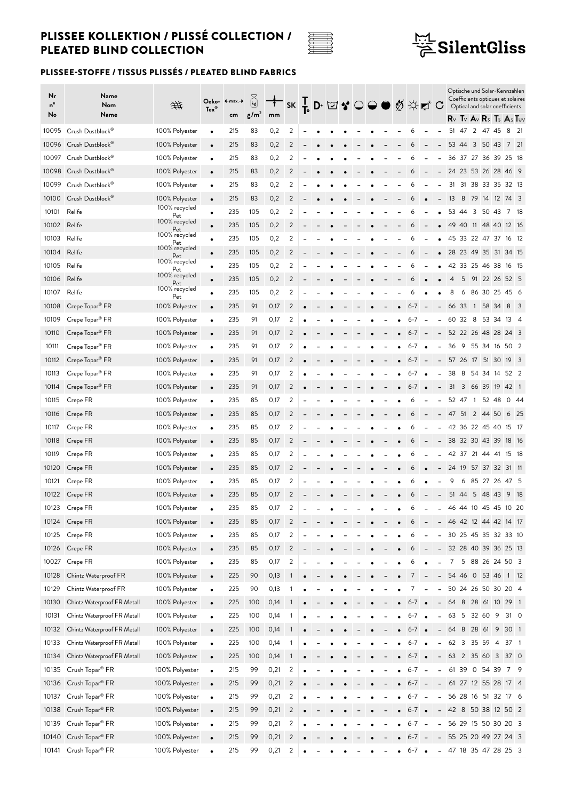

## $\frac{\frac{1}{111}}{\overline{6}}$ SilentGliss

| Nr<br>nº<br>No | Name<br>Nom<br>Name         | 垪                    | $Tex^{\circledcirc}$ | Oeko- ←max.→<br>cm | ပြွဲ<br>g/m <sup>2</sup> | mm         |                |  | SK T D ⊠ ♥ ○ ● ◎ ☆ ₹ ■ ○ |  |  |                   |           |                              |       |                |                |          |     | Optische und Solar-Kennzahlen<br>Coefficients optiques et solaires<br>Optical and solar coefficients<br>$R_V$ Tv $A_V$ Rs Ts $A_S$ Tuv |      |
|----------------|-----------------------------|----------------------|----------------------|--------------------|--------------------------|------------|----------------|--|--------------------------|--|--|-------------------|-----------|------------------------------|-------|----------------|----------------|----------|-----|----------------------------------------------------------------------------------------------------------------------------------------|------|
| 10095          | Crush Dustblock®            | 100% Polyester       | $\bullet$            | 215                | 83                       | 0,2        | 2              |  |                          |  |  | 6                 |           |                              | 51    | 47 2 47 45     |                |          |     | 8                                                                                                                                      | - 21 |
|                | 10096 Crush Dustblock®      | 100% Polyester       | $\bullet$            | 215                | 83                       | 0,2        | 2              |  |                          |  |  | 6                 |           | $\overline{\phantom{0}}$     |       | 53 44 3 50 43  |                |          |     | 7 21                                                                                                                                   |      |
| 10097          | Crush Dustblock®            | 100% Polyester       | $\bullet$            | 215                | 83                       | 0,2        | 2              |  |                          |  |  | 6                 |           |                              | 36    | 37 27 36 39    |                |          |     | 25 18                                                                                                                                  |      |
| 10098          | Crush Dustblock®            | 100% Polyester       | $\bullet$            | 215                | 83                       | 0,2        | 2              |  |                          |  |  |                   |           |                              |       |                |                |          |     | 24 23 53 26 28 46 9                                                                                                                    |      |
| 10099          | Crush Dustblock®            | 100% Polyester       | $\bullet$            | 215                | 83                       | 0,2        | 2              |  |                          |  |  | 6                 |           |                              |       |                |                |          |     | 31 31 38 33 35 32 13                                                                                                                   |      |
| 10100          | Crush Dustblock®            | 100% Polyester       | $\bullet$            | 215                | 83                       | 0,2        | 2              |  |                          |  |  | 6                 |           | $\overline{\phantom{0}}$     | 13    | 8              |                |          |     | 79 14 12 74 3                                                                                                                          |      |
| 10101          | Relife                      | 100% recycled        |                      | 235                | 105                      | 0,2        | 2              |  |                          |  |  | 6                 |           |                              |       | 53 44 3        |                | 50 43    |     | 7 18                                                                                                                                   |      |
| 10102          | Relife                      | Pet<br>100% recycled | $\bullet$            | 235                | 105                      | 0,2        | 2              |  |                          |  |  | 6                 |           |                              |       |                |                |          |     | 49 40 11 48 40 12 16                                                                                                                   |      |
| 10103          | Relife                      | Pet<br>100% recycled | $\bullet$            | 235                | 105                      | 0,2        | 2              |  |                          |  |  |                   |           |                              |       | 45 33 22 47 37 |                |          |     | 16 12                                                                                                                                  |      |
| 10104          | Relife                      | Pet<br>100% recycled | $\bullet$            | 235                | 105                      | 0,2        | 2              |  |                          |  |  | 6                 |           |                              |       |                |                |          |     | 28 23 49 35 31 34 15                                                                                                                   |      |
| 10105          | Relife                      | Pet<br>100% recycled | $\bullet$            | 235                | 105                      | 0,2        | 2              |  |                          |  |  | 6                 |           |                              |       | 42 33 25 46 38 |                |          |     | 16 15                                                                                                                                  |      |
| 10106          | Relife                      | Pet<br>100% recycled | $\bullet$            | 235                | 105                      |            | 2              |  |                          |  |  | 6                 |           |                              | 4     | 5              |                |          |     | 91 22 26 52 5                                                                                                                          |      |
| 10107          | Relife                      | Pet<br>100% recycled | $\bullet$            | 235                | 105                      | 0,2<br>0,2 | 2              |  |                          |  |  | 6                 |           |                              | 8     | 6              |                |          |     | 86 30 25 45 6                                                                                                                          |      |
|                |                             | Pet                  | $\bullet$            | 235                |                          |            |                |  |                          |  |  |                   |           |                              | 66    |                |                |          |     | 8                                                                                                                                      |      |
| 10108          | Crepe Topar <sup>®</sup> FR | 100% Polyester       | $\bullet$            |                    | 91                       | 0,17       | 2              |  |                          |  |  | $6 - 7$           |           | $\overline{\phantom{0}}$     |       | 33             | $\overline{1}$ | 58 34    |     | 53 34 13 4                                                                                                                             | - 3  |
| 10109          | Crepe Topar® FR             | 100% Polyester       | $\bullet$            | 235                | 91                       | 0,17       | 2              |  |                          |  |  | $6 - 7$           |           |                              |       | 60 32 8        |                |          |     |                                                                                                                                        |      |
| 10110          | Crepe Topar® FR             | 100% Polyester       | $\bullet$            | 235                | 91                       | 0,17       | 2              |  |                          |  |  | $6 - 7$           |           |                              |       |                |                |          |     | 52 22 26 48 28 24 3                                                                                                                    |      |
| 10111          | Crepe Topar <sup>®</sup> FR | 100% Polyester       | $\bullet$            | 235                | 91                       | 0,17       | 2              |  |                          |  |  | $6 - 7$           |           | $\overline{\phantom{0}}$     | 36    | - 9            |                |          |     | 55 34 16 50 2                                                                                                                          |      |
| 10112          | Crepe Topar <sup>®</sup> FR | 100% Polyester       | $\bullet$            | 235                | 91                       | 0,17       | 2              |  |                          |  |  | $6-7 -$           |           | $\overline{\phantom{0}}$     |       |                |                |          |     | 57 26 17 51 30 19 3                                                                                                                    |      |
| 10113          | Crepe Topar <sup>®</sup> FR | 100% Polyester       | $\bullet$            | 235                | 91                       | 0,17       | 2              |  |                          |  |  | $6 - 7$           | $\bullet$ | -                            | 38    | 8              |                |          |     | 54 34 14 52 2                                                                                                                          |      |
| 10114          | Crepe Topar <sup>®</sup> FR | 100% Polyester       | $\bullet$            | 235                | 91                       | 0,17       | 2              |  |                          |  |  | $6 - 7$           |           | $\overline{\phantom{0}}$     | 31    | 3              |                |          |     | 66 39 19 42 1                                                                                                                          |      |
| 10115          | Crepe FR                    | 100% Polyester       | $\bullet$            | 235                | 85                       | 0,17       | 2              |  |                          |  |  | 6                 |           |                              |       | 52 47 1 52 48  |                |          |     | 044                                                                                                                                    |      |
| 10116          | Crepe FR                    | 100% Polyester       | $\bullet$            | 235                | 85                       | 0,17       | 2              |  |                          |  |  | 6                 |           | $\overline{\phantom{0}}$     |       | 47 51 2 44 50  |                |          |     | 6 25                                                                                                                                   |      |
| 10117          | Crepe FR                    | 100% Polyester       | $\bullet$            | 235                | 85                       | 0,17       | 2              |  |                          |  |  | 6                 |           |                              |       | 42 36 22 45 40 |                |          |     | 15 17                                                                                                                                  |      |
| 10118          | Crepe FR                    | 100% Polyester       | $\bullet$            | 235                | 85                       | 0,17       | 2              |  |                          |  |  | 6                 |           |                              |       |                |                |          |     | 38 32 30 43 39 18 16                                                                                                                   |      |
| 10119          | Crepe FR                    | 100% Polyester       | $\bullet$            | 235                | 85                       | 0,17       | 2              |  |                          |  |  | 6                 |           |                              | 42    | 37 21          |                | 44       | -41 | 15 18                                                                                                                                  |      |
| 10120          | Crepe FR                    | 100% Polyester       | $\bullet$            | 235                | 85                       | 0,17       | 2              |  |                          |  |  | O                 |           |                              | 24 19 |                |                | 57 37 32 |     | 31 11                                                                                                                                  |      |
| 10121          | Crepe FR                    | 100% Polyester       | $\bullet$            | 235                | 85                       | 0,17       | 2              |  |                          |  |  | 6                 |           |                              | 9     | 6              |                | 85 27 26 |     | 47 5                                                                                                                                   |      |
| 10122          | Crepe FR                    | 100% Polyester       | $\bullet$            | 235                | 85                       | 0,17       | 2              |  |                          |  |  | 6                 |           | $\overline{\phantom{0}}$     |       | 51 44          |                | 5 48 43  |     | 9 18                                                                                                                                   |      |
|                | 10123 Crepe FR              | 100% Polyester       |                      | 235                | 85                       | 0,17       | 2              |  |                          |  |  | 6                 | $\sim$    | $\overline{\phantom{a}}$     |       |                |                |          |     | 46 44 10 45 45 10 20                                                                                                                   |      |
|                | 10124 Crepe FR              | 100% Polyester       | $\bullet$            | 235                | 85                       | 0,17       | 2              |  |                          |  |  | 6                 |           | $\overline{\phantom{a}}$     |       |                |                |          |     | 46 42 12 44 42 14 17                                                                                                                   |      |
| 10125          | Crepe FR                    | 100% Polyester       | $\bullet$            | 235                | 85                       | 0,17       | 2              |  |                          |  |  | 6                 |           | $\overline{\phantom{0}}$     |       |                |                |          |     | 30 25 45 35 32 33 10                                                                                                                   |      |
| 10126          | Crepe FR                    | 100% Polyester       | $\bullet$            | 235                | 85                       | 0,17       | $\overline{2}$ |  |                          |  |  | 6                 |           | $\qquad \qquad -$            |       |                |                |          |     | 32 28 40 39 36 25 13                                                                                                                   |      |
| 10027          | Crepe FR                    | 100% Polyester       | $\bullet$            | 235                | 85                       | 0,17       | 2              |  |                          |  |  | 6                 |           | -                            |       |                |                |          |     | 7 5 88 26 24 50 3                                                                                                                      |      |
| 10128          | Chintz Waterproof FR        | 100% Polyester       | $\bullet$            | 225                | 90                       | 0,13       | 1              |  |                          |  |  |                   |           | $\overline{\phantom{0}}$     |       |                |                |          |     | 54 46 0 53 46 1 12                                                                                                                     |      |
| 10129          | Chintz Waterproof FR        | 100% Polyester       | $\bullet$            | 225                | 90                       | 0,13       |                |  |                          |  |  | 7                 |           | -                            |       |                |                |          |     | 50 24 26 50 30 20 4                                                                                                                    |      |
| 10130          | Chintz Waterproof FR Metall | 100% Polyester       | $\bullet$            | 225                | 100                      | 0,14       | 1              |  |                          |  |  | $6 - 7$ $\bullet$ |           | $\overline{\phantom{a}}$     |       |                |                |          |     | 64 8 28 61 10 29 1                                                                                                                     |      |
| 10131          | Chintz Waterproof FR Metall | 100% Polyester       | $\bullet$            | 225                | 100                      | 0,14       |                |  |                          |  |  | $6 - 7$ $\bullet$ |           | $\overline{\phantom{0}}$     |       |                |                |          |     | 63 5 32 60 9 31 0                                                                                                                      |      |
| 10132          | Chintz Waterproof FR Metall | 100% Polyester       | $\bullet$            | 225                | 100                      | 0,14       |                |  |                          |  |  | $6 - 7$ $\bullet$ |           | $\overline{\phantom{0}}$     |       |                |                |          |     | 64 8 28 61 9 30 1                                                                                                                      |      |
| 10133          | Chintz Waterproof FR Metall | 100% Polyester       | $\bullet$            | 225                | 100                      | 0,14       | -1             |  |                          |  |  | $6 - 7$           |           | $\overline{\phantom{0}}$     |       |                |                |          |     | 62 3 35 59 4 37 1                                                                                                                      |      |
| 10134          | Chintz Waterproof FR Metall | 100% Polyester       | $\bullet$            | 225                | 100                      | 0,14       |                |  |                          |  |  | $6 - 7$ $\bullet$ |           |                              |       |                |                |          |     | $-63$ 2 35 60 3 37 0                                                                                                                   |      |
| 10135          | Crush Topar <sup>®</sup> FR | 100% Polyester       | $\bullet$            | 215                | 99                       | 0,21       | 2              |  |                          |  |  | $6-7 -$           |           | $\qquad \qquad \blacksquare$ |       |                |                |          |     | 61 39 0 54 39 7 9                                                                                                                      |      |
| 10136          | Crush Topar <sup>®</sup> FR | 100% Polyester       | $\bullet$            | 215                | 99                       | 0,21       | $\overline{2}$ |  |                          |  |  | $6-7 -$           |           | $\overline{\phantom{a}}$     |       |                |                |          |     | 61 27 12 55 28 17 4                                                                                                                    |      |
| 10137          | Crush Topar <sup>®</sup> FR | 100% Polyester       | $\bullet$            | 215                | 99                       | 0,21       | $\overline{2}$ |  |                          |  |  | $6-7 -$           |           | $\overline{\phantom{0}}$     |       |                |                |          |     | 56 28 16 51 32 17 6                                                                                                                    |      |
| 10138          | Crush Topar <sup>®</sup> FR | 100% Polyester       | $\bullet$            | 215                | 99                       | 0,21       | $\overline{2}$ |  |                          |  |  | $6-7$ $\bullet$   |           | $\overline{\phantom{a}}$     |       |                |                |          |     | 42 8 50 38 12 50 2                                                                                                                     |      |
| 10139          | Crush Topar <sup>®</sup> FR | 100% Polyester       | $\bullet$            | 215                | 99                       | 0,21       | 2              |  |                          |  |  | $6 - 7$           |           | $\overline{\phantom{a}}$     |       |                |                |          |     | 56 29 15 50 30 20 3                                                                                                                    |      |
|                | 10140 Crush Topar® FR       | 100% Polyester       | $\bullet$            | 215                | 99                       | 0,21       | $\overline{2}$ |  |                          |  |  | $6-7 -$           |           |                              |       |                |                |          |     | - 55 25 20 49 27 24 3                                                                                                                  |      |
| 10141          | Crush Topar® FR             | 100% Polyester       | $\bullet$            | 215                | 99                       | 0,21       | 2              |  |                          |  |  | $6-7$ $\bullet$   |           | $\qquad \qquad \blacksquare$ |       |                |                |          |     | 47 18 35 47 28 25 3                                                                                                                    |      |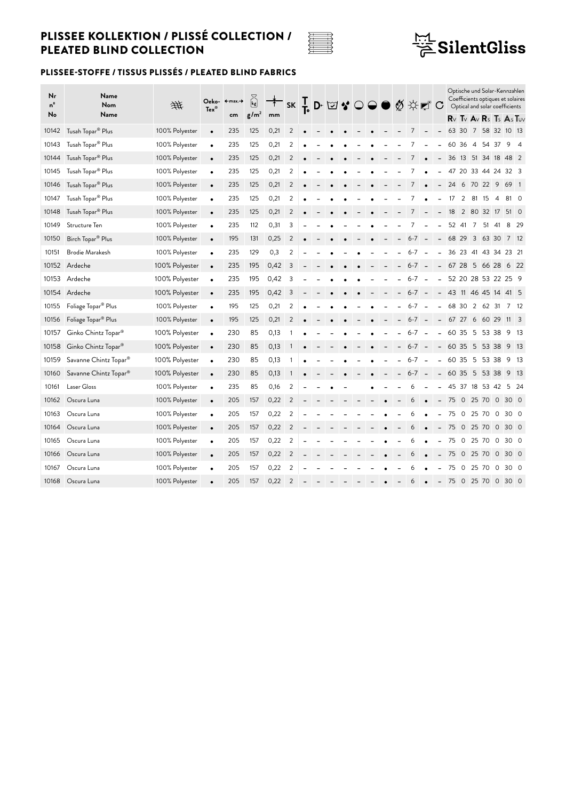

# $\frac{\frac{1.71}{1.7}}{\cancel{2}}$ SilentGliss

| Nr<br>$n^{\circ}$ | Name<br>Nom                       | 兼              | $Tex^{\circledcirc}$ | Oeko- ←max.→ | $\begin{bmatrix} k_2 \end{bmatrix}$ |      |                |  |  |  |  |                |        |                          |                       |                |                |         |                | Optische und Solar-Kennzahlen<br>Coefficients optiques et solaires<br>Optical and solar coefficients |      |
|-------------------|-----------------------------------|----------------|----------------------|--------------|-------------------------------------|------|----------------|--|--|--|--|----------------|--------|--------------------------|-----------------------|----------------|----------------|---------|----------------|------------------------------------------------------------------------------------------------------|------|
| N۰                | Name                              |                |                      | cm           | $g/m^2$                             | mm   |                |  |  |  |  |                |        |                          |                       |                |                |         |                | $R_V$ Tv $A_V$ Rs Ts $A_S$ Tuv                                                                       |      |
| 10142             | Tusah Topar <sup>®</sup> Plus     | 100% Polyester | $\bullet$            | 235          | 125                                 | 0,21 | $\overline{2}$ |  |  |  |  | 7              |        | $\overline{\phantom{0}}$ |                       |                |                |         |                | 63 30 7 58 32 10 13                                                                                  |      |
| 10143             | Tusah Topar <sup>®</sup> Plus     | 100% Polyester | $\bullet$            | 235          | 125                                 | 0,21 | 2              |  |  |  |  |                |        |                          | 60                    | -36            | $\overline{4}$ | 54 37   |                | 9                                                                                                    | -4   |
| 10144             | Tusah Topar <sup>®</sup> Plus     | 100% Polyester | $\bullet$            | 235          | 125                                 | 0,21 | 2              |  |  |  |  | $\overline{7}$ |        |                          |                       |                |                |         |                | 36 13 51 34 18 48 2                                                                                  |      |
| 10145             | Tusah Topar <sup>®</sup> Plus     | 100% Polyester | $\bullet$            | 235          | 125                                 | 0,21 | 2              |  |  |  |  |                |        | $\overline{\phantom{0}}$ |                       | 47 20 33 44 24 |                |         |                | 32 <sup>3</sup>                                                                                      |      |
| 10146             | Tusah Topar <sup>®</sup> Plus     | 100% Polyester | $\bullet$            | 235          | 125                                 | 0,21 | 2              |  |  |  |  | 7              |        | $\overline{\phantom{a}}$ | 24 6 70 22 9 69 1     |                |                |         |                |                                                                                                      |      |
| 10147             | Tusah Topar <sup>®</sup> Plus     | 100% Polyester | $\bullet$            | 235          | 125                                 | 0,21 | 2              |  |  |  |  |                |        |                          | 17                    | 2              | 81             | 15      | 4              | 81 0                                                                                                 |      |
| 10148             | Tusah Topar <sup>®</sup> Plus     | 100% Polyester | $\bullet$            | 235          | 125                                 | 0,21 | 2              |  |  |  |  | $\overline{7}$ |        | $\blacksquare$           | 18                    | 2 80 32 17     |                |         |                | 51 0                                                                                                 |      |
| 10149             | Structure Ten                     | 100% Polyester | $\bullet$            | 235          | 112                                 | 0,31 | 3              |  |  |  |  |                |        | $\overline{\phantom{a}}$ | 52 41                 |                | $\overline{7}$ | 51 41   |                | 8                                                                                                    | - 29 |
| 10150             | Birch Topar <sup>®</sup> Plus     | 100% Polyester | $\bullet$            | 195          | 131                                 | 0,25 | 2              |  |  |  |  | $6-7 -$        |        |                          | $-682936330$          |                |                |         |                | 7 12                                                                                                 |      |
| 10151             | <b>Brodie Marakesh</b>            | 100% Polyester | $\bullet$            | 235          | 129                                 | 0,3  | 2              |  |  |  |  | $6 - 7$        |        | L.                       |                       |                |                |         |                | 36 23 41 43 34 23 21                                                                                 |      |
| 10152             | Ardeche                           | 100% Polyester | $\bullet$            | 235          | 195                                 | 0,42 | 3              |  |  |  |  | $6-7 -$        |        | $\overline{\phantom{m}}$ | 67 28 5 66 28 6 22    |                |                |         |                |                                                                                                      |      |
| 10153             | Ardeche                           | 100% Polyester | $\bullet$            | 235          | 195                                 | 0,42 | 3              |  |  |  |  | $6 - 7$        | $\sim$ | $\overline{a}$           |                       |                |                |         |                | 52 20 28 53 22 25 9                                                                                  |      |
| 10154             | Ardeche                           | 100% Polyester | $\bullet$            | 235          | 195                                 | 0,42 | 3              |  |  |  |  | $6 - 7 -$      |        |                          | - 43 11 46 45 14 41 5 |                |                |         |                |                                                                                                      |      |
| 10155             | Foliage Topar <sup>®</sup> Plus   | 100% Polyester | $\bullet$            | 195          | 125                                 | 0,21 | 2              |  |  |  |  | $6 - 7$        |        | ۳                        | 68 30                 |                |                | 2 62 31 |                | 7 12                                                                                                 |      |
| 10156             | Foliage Topar <sup>®</sup> Plus   | 100% Polyester | $\bullet$            | 195          | 125                                 | 0,21 | 2              |  |  |  |  | $6-7 -$        |        | $\overline{\phantom{0}}$ | 67 27 6 60 29         |                |                |         |                | $11 \quad 3$                                                                                         |      |
| 10157             | Ginko Chintz Topar <sup>®</sup>   | 100% Polyester | $\bullet$            | 230          | 85                                  | 0,13 |                |  |  |  |  | $6 - 7$        | $\sim$ | $\overline{\phantom{a}}$ | 60 35                 |                |                | 5 53 38 |                | 9 13                                                                                                 |      |
| 10158             | Ginko Chintz Topar <sup>®</sup>   | 100% Polyester | $\bullet$            | 230          | 85                                  | 0,13 |                |  |  |  |  | $6 - 7 -$      |        |                          | $-603555338$          |                |                |         |                | 9 13                                                                                                 |      |
| 10159             | Savanne Chintz Topar <sup>®</sup> | 100% Polyester | $\bullet$            | 230          | 85                                  | 0,13 |                |  |  |  |  | $6 - 7$        |        | $\sim$                   | 60 35                 |                | 5              | 53 38   |                | 9 13                                                                                                 |      |
| 10160             | Savanne Chintz Topar <sup>®</sup> | 100% Polyester | $\bullet$            | 230          | 85                                  | 0,13 |                |  |  |  |  | $6-7 -$        |        |                          | - 60 35 5 53 38       |                |                |         |                | 9 13                                                                                                 |      |
| 10161             | Laser Gloss                       | 100% Polyester | $\bullet$            | 235          | 85                                  | 0,16 | 2              |  |  |  |  | 6              |        | $\blacksquare$           |                       | 45 37 18 53 42 |                |         |                | 5 24                                                                                                 |      |
| 10162             | Oscura Luna                       | 100% Polyester | $\bullet$            | 205          | 157                                 | 0,22 | $\overline{2}$ |  |  |  |  | 6              |        | $\overline{\phantom{a}}$ | 75 0 25 70 0 30 0     |                |                |         |                |                                                                                                      |      |
| 10163             | Oscura Luna                       | 100% Polyester | $\bullet$            | 205          | 157                                 | 0,22 | 2              |  |  |  |  | 6              |        |                          | 75                    | $\circ$        | 25             | 70      | 0              | 30 <sub>0</sub>                                                                                      |      |
| 10164             | Oscura Luna                       | 100% Polyester | $\bullet$            | 205          | 157                                 | 0,22 | 2              |  |  |  |  | 6              |        | $\overline{\phantom{0}}$ | 75                    | $\overline{0}$ |                | 25 70 0 |                | 30 0                                                                                                 |      |
| 10165             | Oscura Luna                       | 100% Polyester | $\bullet$            | 205          | 157                                 | 0,22 | 2              |  |  |  |  | 6              |        |                          | 75                    | $\circ$        | 25 70          |         | 0              | 30 0                                                                                                 |      |
| 10166             | Oscura Luna                       | 100% Polyester | $\bullet$            | 205          | 157                                 | 0,22 | 2              |  |  |  |  | 6              |        |                          | 75                    | $\overline{0}$ | 25 70          |         | $\overline{0}$ | 30 0                                                                                                 |      |
| 10167             | Oscura Luna                       | 100% Polyester | $\bullet$            | 205          | 157                                 | 0,22 | 2              |  |  |  |  | 6              |        |                          | 75                    | $\circ$        | 25             | 70      | 0              | 30 0                                                                                                 |      |
| 10168             | Oscura Luna                       | 100% Polyester |                      | 205          | 157                                 | 0,22 | 2              |  |  |  |  | 6              |        | $\overline{\phantom{a}}$ | 75 0 25 70 0          |                |                |         |                | 30 0                                                                                                 |      |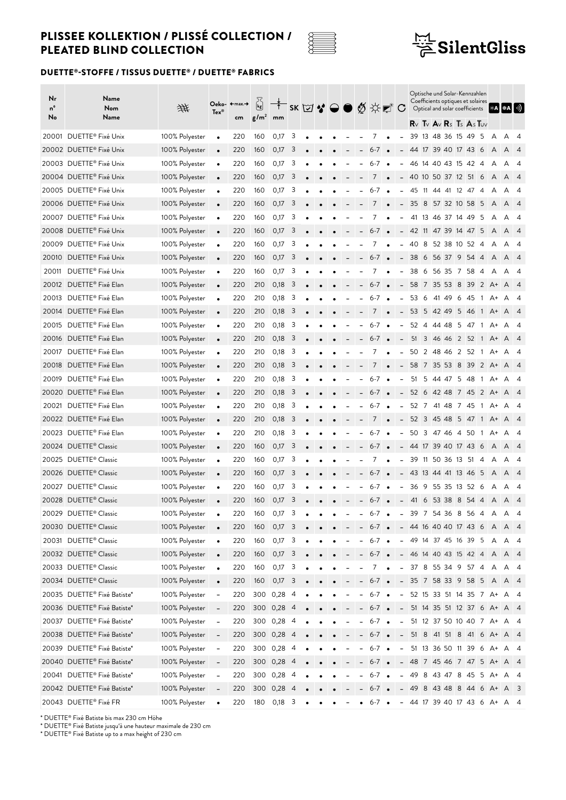



### DUETTE®-STOFFE / TISSUS DUETTE® / DUETTE® FABRICS

| $R \vee R \vee R \vee R$ s Ts As Tuv<br>DUETTE <sup>®</sup> Fixé Unix<br>13 48 36 15 49<br>20001<br>100% Polyester<br>0,17<br>3<br>- 5<br>220<br>160<br>7<br>39<br>A<br>- 4<br>A<br>$\bullet$<br>20002 DUETTE® Fixé Unix<br>100% Polyester<br>220<br>3<br>44 17 39 40 17 43<br>160<br>0,17<br>- 6<br>$6 - 7$<br>A<br>A<br>$\sqrt{4}$<br>$\bullet$<br>20003 DUETTE® Fixé Unix<br>100% Polyester<br>3<br>46 14 40 43 15 42<br>220<br>160<br>0,17<br>6-7<br>-4<br>A<br>A<br>-4<br>$\bullet$<br>20004 DUETTE® Fixé Unix<br>3<br>100% Polyester<br>160<br>0,17<br>40 10 50 37 12 51 6<br>220<br>7<br>A<br>A<br>$\overline{4}$<br>20005 DUETTE® Fixé Unix<br>100% Polyester<br>220<br>0,17<br>3<br>160<br>6-7<br>45 11 44 41 12 47 4<br>A<br>- 4<br>$\bullet$<br>A<br>20006 DUETTE® Fixé Unix<br>100% Polyester<br>3<br>220<br>160<br>0,17<br>7<br>35 8 57 32 10 58 5<br>A<br>A<br>$\overline{4}$<br>$\bullet$<br>20007 DUETTE® Fixé Unix<br>100% Polyester<br>220<br>3<br>41 13 46 37 14 49<br>160<br>0,17<br>-5<br>Α<br>A<br>4<br>$\bullet$<br>20008 DUETTE® Fixé Unix<br>100% Polyester<br>220<br>160<br>0,17<br>3<br>$6 - 7$<br>42 11 47 39 14 47 5<br>A<br>A<br>$\overline{4}$<br>$\bullet$<br>20009 DUETTE® Fixé Unix<br>3<br>100% Polyester<br>220<br>0,17<br>40<br>- 8<br>52 38 10 52<br>160<br>7<br>-4<br>A<br>A<br>-4<br>$\bullet$<br>$\overline{\phantom{0}}$<br>20010 DUETTE® Fixé Unix<br>100% Polyester<br>220<br>160<br>0,17<br>3<br>6-7<br>38 6 56 37 9 54<br>$\overline{4}$<br>A<br>A<br>$\overline{4}$<br>$\bullet$<br>$\bullet$<br>$\sim$<br>DUETTE <sup>®</sup> Fixé Unix<br>100% Polyester<br>0,17<br>3<br>6 56 35 7 58<br>20011<br>220<br>160<br>38<br>7<br>-4<br>A<br>A<br>-4<br>$\bullet$<br>$\overline{\phantom{a}}$<br>20012 DUETTE® Fixé Elan<br>100% Polyester<br>220<br>210<br>0,18<br>3<br>$6 - 7$<br>58 7 35 53 8<br>- 39<br>$2 \, A+$<br>A<br>$\sqrt{4}$<br>$\bullet$<br>$\bullet$<br>20013 DUETTE® Fixé Elan<br>100% Polyester<br>220<br>210<br>0,18<br>3<br>$6 - 7$<br>53<br>- 6<br>41 49<br>-6<br>-45<br>$\overline{1}$<br>A<br>$\bullet$<br>$A^+$<br>-4<br>20014 DUETTE® Fixé Elan<br>100% Polyester<br>0,18<br>3<br>220<br>210<br>7<br>53 5 42 49<br>5 46<br>$\overline{1}$<br>$A^+$<br>A<br>$\overline{\phantom{a}}$<br>$\sqrt{4}$<br>$\bullet$<br>20015 DUETTE® Fixé Elan<br>100% Polyester<br>0,18<br>3<br>220<br>210<br>6-7<br>52 4 44 48<br>- 5<br>-47<br>A<br>$\overline{1}$<br>A+<br>-4<br>$\bullet$<br>20016 DUETTE® Fixé Elan<br>210<br>0,18<br>100% Polyester<br>220<br>3<br>51 3 46 46 2 52 1 A + A<br>$6 - 7$<br>$\bullet$<br>$\overline{4}$<br>$\bullet$<br>$\overline{\phantom{a}}$<br>DUETTE® Fixé Elan<br>100% Polyester<br>210<br>3<br>20017<br>220<br>0,18<br>7<br>50 2 48 46<br>2 52<br>$\overline{1}$<br>A+<br>A<br>-4<br>$\bullet$<br>20018 DUETTE® Fixé Elan<br>100% Polyester<br>210<br>0,18<br>3<br>220<br>7<br>58 7 35 53<br>- 8<br>39<br>$\overline{2}$<br>$A^+$<br>A<br>$\overline{4}$<br>$\bullet$<br>20019 DUETTE® Fixé Elan<br>100% Polyester<br>210<br>0,18<br>3<br>220<br>$6 - 7$<br>51 5 44 47 5 48<br>$\overline{1}$<br>A+ A<br>- 4<br>$\bullet$<br>20020 DUETTE® Fixé Elan<br>3<br>100% Polyester<br>220<br>210<br>0,18<br>52 6 42 48<br>$6 - 7$<br>7 45<br>$\overline{2}$<br>$A^+$<br>A<br>$\sqrt{4}$<br>$\bullet$<br>$\bullet$<br>$\overline{\phantom{a}}$<br>20021 DUETTE® Fixé Elan<br>100% Polyester<br>3<br>220<br>210<br>0,18<br>6-7<br>52 7 41 48 7 45<br>$\overline{1}$<br>A<br>A+<br>-4<br>$\bullet$<br>20022 DUETTE® Fixé Elan<br>100% Polyester<br>220<br>210<br>0,18<br>3<br>52 3 45 48<br>7<br>5 47<br>$\overline{1}$<br>A+<br>A<br>-4<br>$\bullet$<br>20023 DUETTE® Fixé Elan<br>100% Polyester<br>0,18<br>3<br>220<br>210<br>6-7<br>50 3 47 46<br>-4<br>50<br>$\overline{1}$<br>A+<br>A<br>- 4<br>$\bullet$<br>20024 DUETTE® Classic<br>100% Polyester<br>3<br>44 17 39 40 17 43<br>220<br>160<br>0,17<br>6-7<br>- 6<br>A<br>A<br>$\sqrt{4}$<br>$\bullet$<br>20025 DUETTE® Classic<br>100% Polyester<br>3<br>220<br>160<br>0,17<br>7<br>39 11 50 36 13 51<br>-4<br>A<br>A<br>-4<br>$\bullet$<br>$\overline{\phantom{a}}$<br>20026 DUETTE® Classic<br>100% Polyester<br>0,17<br>3<br>$6 - 7$<br>220<br>160<br>43 13 44 41 13 46<br>5<br>A<br>A<br>$\overline{4}$<br>$\bullet$<br>$\overline{\phantom{a}}$<br>20027 DUETTE® Classic<br>36 9 55 35 13 52<br>100% Polyester<br>220<br>0,17<br>3<br>160<br>$6 - 7$<br>- 6<br>A<br>A<br>-4<br>$\bullet$<br>20028 DUETTE® Classic<br>100% Polyester<br>0,17<br>3<br>41 6 53 38 8 54 4<br>220<br>160<br>$6 - 7$<br>A<br>A<br>$\overline{4}$<br>$\bullet$<br>$\bullet$<br>$\overline{\phantom{a}}$<br>20029 DUETTE® Classic<br>100% Polyester<br>39 7 54 36 8 56 4<br>3<br>220<br>6-7<br>160<br>0,1/<br>$\bullet$<br>$\sim$<br>A<br>A<br>20030 DUETTE® Classic<br>100% Polyester<br>$-44$ 16 40 40 17 43 6 A A 4<br>160<br>$0,17$ 3<br>220<br>$6 - 7$ $\bullet$<br>$\bullet$<br>100% Polyester<br>0,17<br>3<br>$6-7$ $\bullet$<br>20031 DUETTE® Classic<br>220<br>160<br>$-49$ 14 37 45 16 39 5 A A 4<br>$\bullet$<br>$\overline{\phantom{a}}$<br>20032 DUETTE® Classic<br>100% Polyester<br>$0,17$ 3<br>220<br>160<br>$6 - 7$ $\bullet$<br>$- 46$ 14 40 43 15 42 4 A A 4<br>$\bullet$<br>20033 DUETTE® Classic<br>100% Polyester<br>$0,17$ 3<br>220<br>160<br>37 8 55 34 9 57 4 A A 4<br>7<br>$\bullet$<br>$\sim$<br>20034 DUETTE® Classic<br>100% Polyester<br>$0,17$ 3<br>$-35$ 7 58 33 9 58 5 A A 4<br>220<br>160<br>$6 - 7$ $\bullet$<br>$\bullet$<br>20035 DUETTE® Fixé Batiste*<br>100% Polyester<br>300 0,28<br>$6-7$ $\bullet$<br>- 52 15 33 51 14 35 7 A+ A 4<br>220<br>$\overline{4}$<br>$\bar{\phantom{a}}$<br>20036 DUETTE® Fixé Batiste*<br>300 0,28 4<br>100% Polyester<br>220<br>51 14 35 51 12 37 6 A+ A 4<br>$6 - 7$ $\bullet$<br>$\sim$<br>$\overline{\phantom{a}}$ | Nr<br>n°<br>No | Name<br>Nom<br>Name | 垪 | $Tex^{\circ}$ | Oeko- ←max.→<br>cm | $\begin{bmatrix} k_2 \ k_3 \end{bmatrix}$<br>g/m <sup>2</sup> | mm |  |  |  | <sup>Ť</sup> SK⊠❖●●∅☆₫°C |  |  |  | Optische und Solar-Kennzahlen<br>Coefficients optiques et solaires<br>Optical and solar coefficients |  | ∥⋇A┃❀A┃ ৩) |  |
|-----------------------------------------------------------------------------------------------------------------------------------------------------------------------------------------------------------------------------------------------------------------------------------------------------------------------------------------------------------------------------------------------------------------------------------------------------------------------------------------------------------------------------------------------------------------------------------------------------------------------------------------------------------------------------------------------------------------------------------------------------------------------------------------------------------------------------------------------------------------------------------------------------------------------------------------------------------------------------------------------------------------------------------------------------------------------------------------------------------------------------------------------------------------------------------------------------------------------------------------------------------------------------------------------------------------------------------------------------------------------------------------------------------------------------------------------------------------------------------------------------------------------------------------------------------------------------------------------------------------------------------------------------------------------------------------------------------------------------------------------------------------------------------------------------------------------------------------------------------------------------------------------------------------------------------------------------------------------------------------------------------------------------------------------------------------------------------------------------------------------------------------------------------------------------------------------------------------------------------------------------------------------------------------------------------------------------------------------------------------------------------------------------------------------------------------------------------------------------------------------------------------------------------------------------------------------------------------------------------------------------------------------------------------------------------------------------------------------------------------------------------------------------------------------------------------------------------------------------------------------------------------------------------------------------------------------------------------------------------------------------------------------------------------------------------------------------------------------------------------------------------------------------------------------------------------------------------------------------------------------------------------------------------------------------------------------------------------------------------------------------------------------------------------------------------------------------------------------------------------------------------------------------------------------------------------------------------------------------------------------------------------------------------------------------------------------------------------------------------------------------------------------------------------------------------------------------------------------------------------------------------------------------------------------------------------------------------------------------------------------------------------------------------------------------------------------------------------------------------------------------------------------------------------------------------------------------------------------------------------------------------------------------------------------------------------------------------------------------------------------------------------------------------------------------------------------------------------------------------------------------------------------------------------------------------------------------------------------------------------------------------------------------------------------------------------------------------------------------------------------------------------------------------------------------------------------------------------------------------------------------------------------------------------------------------------------------------------------------------------------------------------------------------------------------------------------------------------------------------------------------------------------------------------------------------------------------------------------------------------------------------------------------------------------------------------------------------------------------------------------------------------------------------------------------------------------------------------------------------------------------------------------------------------------------------------------------------------------------------------------------------------------------------------------------------------------------------------------------------------------------------------------------------------------------------------|----------------|---------------------|---|---------------|--------------------|---------------------------------------------------------------|----|--|--|--|--------------------------|--|--|--|------------------------------------------------------------------------------------------------------|--|------------|--|
|                                                                                                                                                                                                                                                                                                                                                                                                                                                                                                                                                                                                                                                                                                                                                                                                                                                                                                                                                                                                                                                                                                                                                                                                                                                                                                                                                                                                                                                                                                                                                                                                                                                                                                                                                                                                                                                                                                                                                                                                                                                                                                                                                                                                                                                                                                                                                                                                                                                                                                                                                                                                                                                                                                                                                                                                                                                                                                                                                                                                                                                                                                                                                                                                                                                                                                                                                                                                                                                                                                                                                                                                                                                                                                                                                                                                                                                                                                                                                                                                                                                                                                                                                                                                                                                                                                                                                                                                                                                                                                                                                                                                                                                                                                                                                                                                                                                                                                                                                                                                                                                                                                                                                                                                                                                                                                                                                                                                                                                                                                                                                                                                                                                                                                                                                                                                                 |                |                     |   |               |                    |                                                               |    |  |  |  |                          |  |  |  |                                                                                                      |  |            |  |
|                                                                                                                                                                                                                                                                                                                                                                                                                                                                                                                                                                                                                                                                                                                                                                                                                                                                                                                                                                                                                                                                                                                                                                                                                                                                                                                                                                                                                                                                                                                                                                                                                                                                                                                                                                                                                                                                                                                                                                                                                                                                                                                                                                                                                                                                                                                                                                                                                                                                                                                                                                                                                                                                                                                                                                                                                                                                                                                                                                                                                                                                                                                                                                                                                                                                                                                                                                                                                                                                                                                                                                                                                                                                                                                                                                                                                                                                                                                                                                                                                                                                                                                                                                                                                                                                                                                                                                                                                                                                                                                                                                                                                                                                                                                                                                                                                                                                                                                                                                                                                                                                                                                                                                                                                                                                                                                                                                                                                                                                                                                                                                                                                                                                                                                                                                                                                 |                |                     |   |               |                    |                                                               |    |  |  |  |                          |  |  |  |                                                                                                      |  |            |  |
|                                                                                                                                                                                                                                                                                                                                                                                                                                                                                                                                                                                                                                                                                                                                                                                                                                                                                                                                                                                                                                                                                                                                                                                                                                                                                                                                                                                                                                                                                                                                                                                                                                                                                                                                                                                                                                                                                                                                                                                                                                                                                                                                                                                                                                                                                                                                                                                                                                                                                                                                                                                                                                                                                                                                                                                                                                                                                                                                                                                                                                                                                                                                                                                                                                                                                                                                                                                                                                                                                                                                                                                                                                                                                                                                                                                                                                                                                                                                                                                                                                                                                                                                                                                                                                                                                                                                                                                                                                                                                                                                                                                                                                                                                                                                                                                                                                                                                                                                                                                                                                                                                                                                                                                                                                                                                                                                                                                                                                                                                                                                                                                                                                                                                                                                                                                                                 |                |                     |   |               |                    |                                                               |    |  |  |  |                          |  |  |  |                                                                                                      |  |            |  |
|                                                                                                                                                                                                                                                                                                                                                                                                                                                                                                                                                                                                                                                                                                                                                                                                                                                                                                                                                                                                                                                                                                                                                                                                                                                                                                                                                                                                                                                                                                                                                                                                                                                                                                                                                                                                                                                                                                                                                                                                                                                                                                                                                                                                                                                                                                                                                                                                                                                                                                                                                                                                                                                                                                                                                                                                                                                                                                                                                                                                                                                                                                                                                                                                                                                                                                                                                                                                                                                                                                                                                                                                                                                                                                                                                                                                                                                                                                                                                                                                                                                                                                                                                                                                                                                                                                                                                                                                                                                                                                                                                                                                                                                                                                                                                                                                                                                                                                                                                                                                                                                                                                                                                                                                                                                                                                                                                                                                                                                                                                                                                                                                                                                                                                                                                                                                                 |                |                     |   |               |                    |                                                               |    |  |  |  |                          |  |  |  |                                                                                                      |  |            |  |
|                                                                                                                                                                                                                                                                                                                                                                                                                                                                                                                                                                                                                                                                                                                                                                                                                                                                                                                                                                                                                                                                                                                                                                                                                                                                                                                                                                                                                                                                                                                                                                                                                                                                                                                                                                                                                                                                                                                                                                                                                                                                                                                                                                                                                                                                                                                                                                                                                                                                                                                                                                                                                                                                                                                                                                                                                                                                                                                                                                                                                                                                                                                                                                                                                                                                                                                                                                                                                                                                                                                                                                                                                                                                                                                                                                                                                                                                                                                                                                                                                                                                                                                                                                                                                                                                                                                                                                                                                                                                                                                                                                                                                                                                                                                                                                                                                                                                                                                                                                                                                                                                                                                                                                                                                                                                                                                                                                                                                                                                                                                                                                                                                                                                                                                                                                                                                 |                |                     |   |               |                    |                                                               |    |  |  |  |                          |  |  |  |                                                                                                      |  |            |  |
|                                                                                                                                                                                                                                                                                                                                                                                                                                                                                                                                                                                                                                                                                                                                                                                                                                                                                                                                                                                                                                                                                                                                                                                                                                                                                                                                                                                                                                                                                                                                                                                                                                                                                                                                                                                                                                                                                                                                                                                                                                                                                                                                                                                                                                                                                                                                                                                                                                                                                                                                                                                                                                                                                                                                                                                                                                                                                                                                                                                                                                                                                                                                                                                                                                                                                                                                                                                                                                                                                                                                                                                                                                                                                                                                                                                                                                                                                                                                                                                                                                                                                                                                                                                                                                                                                                                                                                                                                                                                                                                                                                                                                                                                                                                                                                                                                                                                                                                                                                                                                                                                                                                                                                                                                                                                                                                                                                                                                                                                                                                                                                                                                                                                                                                                                                                                                 |                |                     |   |               |                    |                                                               |    |  |  |  |                          |  |  |  |                                                                                                      |  |            |  |
|                                                                                                                                                                                                                                                                                                                                                                                                                                                                                                                                                                                                                                                                                                                                                                                                                                                                                                                                                                                                                                                                                                                                                                                                                                                                                                                                                                                                                                                                                                                                                                                                                                                                                                                                                                                                                                                                                                                                                                                                                                                                                                                                                                                                                                                                                                                                                                                                                                                                                                                                                                                                                                                                                                                                                                                                                                                                                                                                                                                                                                                                                                                                                                                                                                                                                                                                                                                                                                                                                                                                                                                                                                                                                                                                                                                                                                                                                                                                                                                                                                                                                                                                                                                                                                                                                                                                                                                                                                                                                                                                                                                                                                                                                                                                                                                                                                                                                                                                                                                                                                                                                                                                                                                                                                                                                                                                                                                                                                                                                                                                                                                                                                                                                                                                                                                                                 |                |                     |   |               |                    |                                                               |    |  |  |  |                          |  |  |  |                                                                                                      |  |            |  |
|                                                                                                                                                                                                                                                                                                                                                                                                                                                                                                                                                                                                                                                                                                                                                                                                                                                                                                                                                                                                                                                                                                                                                                                                                                                                                                                                                                                                                                                                                                                                                                                                                                                                                                                                                                                                                                                                                                                                                                                                                                                                                                                                                                                                                                                                                                                                                                                                                                                                                                                                                                                                                                                                                                                                                                                                                                                                                                                                                                                                                                                                                                                                                                                                                                                                                                                                                                                                                                                                                                                                                                                                                                                                                                                                                                                                                                                                                                                                                                                                                                                                                                                                                                                                                                                                                                                                                                                                                                                                                                                                                                                                                                                                                                                                                                                                                                                                                                                                                                                                                                                                                                                                                                                                                                                                                                                                                                                                                                                                                                                                                                                                                                                                                                                                                                                                                 |                |                     |   |               |                    |                                                               |    |  |  |  |                          |  |  |  |                                                                                                      |  |            |  |
|                                                                                                                                                                                                                                                                                                                                                                                                                                                                                                                                                                                                                                                                                                                                                                                                                                                                                                                                                                                                                                                                                                                                                                                                                                                                                                                                                                                                                                                                                                                                                                                                                                                                                                                                                                                                                                                                                                                                                                                                                                                                                                                                                                                                                                                                                                                                                                                                                                                                                                                                                                                                                                                                                                                                                                                                                                                                                                                                                                                                                                                                                                                                                                                                                                                                                                                                                                                                                                                                                                                                                                                                                                                                                                                                                                                                                                                                                                                                                                                                                                                                                                                                                                                                                                                                                                                                                                                                                                                                                                                                                                                                                                                                                                                                                                                                                                                                                                                                                                                                                                                                                                                                                                                                                                                                                                                                                                                                                                                                                                                                                                                                                                                                                                                                                                                                                 |                |                     |   |               |                    |                                                               |    |  |  |  |                          |  |  |  |                                                                                                      |  |            |  |
|                                                                                                                                                                                                                                                                                                                                                                                                                                                                                                                                                                                                                                                                                                                                                                                                                                                                                                                                                                                                                                                                                                                                                                                                                                                                                                                                                                                                                                                                                                                                                                                                                                                                                                                                                                                                                                                                                                                                                                                                                                                                                                                                                                                                                                                                                                                                                                                                                                                                                                                                                                                                                                                                                                                                                                                                                                                                                                                                                                                                                                                                                                                                                                                                                                                                                                                                                                                                                                                                                                                                                                                                                                                                                                                                                                                                                                                                                                                                                                                                                                                                                                                                                                                                                                                                                                                                                                                                                                                                                                                                                                                                                                                                                                                                                                                                                                                                                                                                                                                                                                                                                                                                                                                                                                                                                                                                                                                                                                                                                                                                                                                                                                                                                                                                                                                                                 |                |                     |   |               |                    |                                                               |    |  |  |  |                          |  |  |  |                                                                                                      |  |            |  |
|                                                                                                                                                                                                                                                                                                                                                                                                                                                                                                                                                                                                                                                                                                                                                                                                                                                                                                                                                                                                                                                                                                                                                                                                                                                                                                                                                                                                                                                                                                                                                                                                                                                                                                                                                                                                                                                                                                                                                                                                                                                                                                                                                                                                                                                                                                                                                                                                                                                                                                                                                                                                                                                                                                                                                                                                                                                                                                                                                                                                                                                                                                                                                                                                                                                                                                                                                                                                                                                                                                                                                                                                                                                                                                                                                                                                                                                                                                                                                                                                                                                                                                                                                                                                                                                                                                                                                                                                                                                                                                                                                                                                                                                                                                                                                                                                                                                                                                                                                                                                                                                                                                                                                                                                                                                                                                                                                                                                                                                                                                                                                                                                                                                                                                                                                                                                                 |                |                     |   |               |                    |                                                               |    |  |  |  |                          |  |  |  |                                                                                                      |  |            |  |
|                                                                                                                                                                                                                                                                                                                                                                                                                                                                                                                                                                                                                                                                                                                                                                                                                                                                                                                                                                                                                                                                                                                                                                                                                                                                                                                                                                                                                                                                                                                                                                                                                                                                                                                                                                                                                                                                                                                                                                                                                                                                                                                                                                                                                                                                                                                                                                                                                                                                                                                                                                                                                                                                                                                                                                                                                                                                                                                                                                                                                                                                                                                                                                                                                                                                                                                                                                                                                                                                                                                                                                                                                                                                                                                                                                                                                                                                                                                                                                                                                                                                                                                                                                                                                                                                                                                                                                                                                                                                                                                                                                                                                                                                                                                                                                                                                                                                                                                                                                                                                                                                                                                                                                                                                                                                                                                                                                                                                                                                                                                                                                                                                                                                                                                                                                                                                 |                |                     |   |               |                    |                                                               |    |  |  |  |                          |  |  |  |                                                                                                      |  |            |  |
|                                                                                                                                                                                                                                                                                                                                                                                                                                                                                                                                                                                                                                                                                                                                                                                                                                                                                                                                                                                                                                                                                                                                                                                                                                                                                                                                                                                                                                                                                                                                                                                                                                                                                                                                                                                                                                                                                                                                                                                                                                                                                                                                                                                                                                                                                                                                                                                                                                                                                                                                                                                                                                                                                                                                                                                                                                                                                                                                                                                                                                                                                                                                                                                                                                                                                                                                                                                                                                                                                                                                                                                                                                                                                                                                                                                                                                                                                                                                                                                                                                                                                                                                                                                                                                                                                                                                                                                                                                                                                                                                                                                                                                                                                                                                                                                                                                                                                                                                                                                                                                                                                                                                                                                                                                                                                                                                                                                                                                                                                                                                                                                                                                                                                                                                                                                                                 |                |                     |   |               |                    |                                                               |    |  |  |  |                          |  |  |  |                                                                                                      |  |            |  |
|                                                                                                                                                                                                                                                                                                                                                                                                                                                                                                                                                                                                                                                                                                                                                                                                                                                                                                                                                                                                                                                                                                                                                                                                                                                                                                                                                                                                                                                                                                                                                                                                                                                                                                                                                                                                                                                                                                                                                                                                                                                                                                                                                                                                                                                                                                                                                                                                                                                                                                                                                                                                                                                                                                                                                                                                                                                                                                                                                                                                                                                                                                                                                                                                                                                                                                                                                                                                                                                                                                                                                                                                                                                                                                                                                                                                                                                                                                                                                                                                                                                                                                                                                                                                                                                                                                                                                                                                                                                                                                                                                                                                                                                                                                                                                                                                                                                                                                                                                                                                                                                                                                                                                                                                                                                                                                                                                                                                                                                                                                                                                                                                                                                                                                                                                                                                                 |                |                     |   |               |                    |                                                               |    |  |  |  |                          |  |  |  |                                                                                                      |  |            |  |
|                                                                                                                                                                                                                                                                                                                                                                                                                                                                                                                                                                                                                                                                                                                                                                                                                                                                                                                                                                                                                                                                                                                                                                                                                                                                                                                                                                                                                                                                                                                                                                                                                                                                                                                                                                                                                                                                                                                                                                                                                                                                                                                                                                                                                                                                                                                                                                                                                                                                                                                                                                                                                                                                                                                                                                                                                                                                                                                                                                                                                                                                                                                                                                                                                                                                                                                                                                                                                                                                                                                                                                                                                                                                                                                                                                                                                                                                                                                                                                                                                                                                                                                                                                                                                                                                                                                                                                                                                                                                                                                                                                                                                                                                                                                                                                                                                                                                                                                                                                                                                                                                                                                                                                                                                                                                                                                                                                                                                                                                                                                                                                                                                                                                                                                                                                                                                 |                |                     |   |               |                    |                                                               |    |  |  |  |                          |  |  |  |                                                                                                      |  |            |  |
|                                                                                                                                                                                                                                                                                                                                                                                                                                                                                                                                                                                                                                                                                                                                                                                                                                                                                                                                                                                                                                                                                                                                                                                                                                                                                                                                                                                                                                                                                                                                                                                                                                                                                                                                                                                                                                                                                                                                                                                                                                                                                                                                                                                                                                                                                                                                                                                                                                                                                                                                                                                                                                                                                                                                                                                                                                                                                                                                                                                                                                                                                                                                                                                                                                                                                                                                                                                                                                                                                                                                                                                                                                                                                                                                                                                                                                                                                                                                                                                                                                                                                                                                                                                                                                                                                                                                                                                                                                                                                                                                                                                                                                                                                                                                                                                                                                                                                                                                                                                                                                                                                                                                                                                                                                                                                                                                                                                                                                                                                                                                                                                                                                                                                                                                                                                                                 |                |                     |   |               |                    |                                                               |    |  |  |  |                          |  |  |  |                                                                                                      |  |            |  |
|                                                                                                                                                                                                                                                                                                                                                                                                                                                                                                                                                                                                                                                                                                                                                                                                                                                                                                                                                                                                                                                                                                                                                                                                                                                                                                                                                                                                                                                                                                                                                                                                                                                                                                                                                                                                                                                                                                                                                                                                                                                                                                                                                                                                                                                                                                                                                                                                                                                                                                                                                                                                                                                                                                                                                                                                                                                                                                                                                                                                                                                                                                                                                                                                                                                                                                                                                                                                                                                                                                                                                                                                                                                                                                                                                                                                                                                                                                                                                                                                                                                                                                                                                                                                                                                                                                                                                                                                                                                                                                                                                                                                                                                                                                                                                                                                                                                                                                                                                                                                                                                                                                                                                                                                                                                                                                                                                                                                                                                                                                                                                                                                                                                                                                                                                                                                                 |                |                     |   |               |                    |                                                               |    |  |  |  |                          |  |  |  |                                                                                                      |  |            |  |
|                                                                                                                                                                                                                                                                                                                                                                                                                                                                                                                                                                                                                                                                                                                                                                                                                                                                                                                                                                                                                                                                                                                                                                                                                                                                                                                                                                                                                                                                                                                                                                                                                                                                                                                                                                                                                                                                                                                                                                                                                                                                                                                                                                                                                                                                                                                                                                                                                                                                                                                                                                                                                                                                                                                                                                                                                                                                                                                                                                                                                                                                                                                                                                                                                                                                                                                                                                                                                                                                                                                                                                                                                                                                                                                                                                                                                                                                                                                                                                                                                                                                                                                                                                                                                                                                                                                                                                                                                                                                                                                                                                                                                                                                                                                                                                                                                                                                                                                                                                                                                                                                                                                                                                                                                                                                                                                                                                                                                                                                                                                                                                                                                                                                                                                                                                                                                 |                |                     |   |               |                    |                                                               |    |  |  |  |                          |  |  |  |                                                                                                      |  |            |  |
|                                                                                                                                                                                                                                                                                                                                                                                                                                                                                                                                                                                                                                                                                                                                                                                                                                                                                                                                                                                                                                                                                                                                                                                                                                                                                                                                                                                                                                                                                                                                                                                                                                                                                                                                                                                                                                                                                                                                                                                                                                                                                                                                                                                                                                                                                                                                                                                                                                                                                                                                                                                                                                                                                                                                                                                                                                                                                                                                                                                                                                                                                                                                                                                                                                                                                                                                                                                                                                                                                                                                                                                                                                                                                                                                                                                                                                                                                                                                                                                                                                                                                                                                                                                                                                                                                                                                                                                                                                                                                                                                                                                                                                                                                                                                                                                                                                                                                                                                                                                                                                                                                                                                                                                                                                                                                                                                                                                                                                                                                                                                                                                                                                                                                                                                                                                                                 |                |                     |   |               |                    |                                                               |    |  |  |  |                          |  |  |  |                                                                                                      |  |            |  |
|                                                                                                                                                                                                                                                                                                                                                                                                                                                                                                                                                                                                                                                                                                                                                                                                                                                                                                                                                                                                                                                                                                                                                                                                                                                                                                                                                                                                                                                                                                                                                                                                                                                                                                                                                                                                                                                                                                                                                                                                                                                                                                                                                                                                                                                                                                                                                                                                                                                                                                                                                                                                                                                                                                                                                                                                                                                                                                                                                                                                                                                                                                                                                                                                                                                                                                                                                                                                                                                                                                                                                                                                                                                                                                                                                                                                                                                                                                                                                                                                                                                                                                                                                                                                                                                                                                                                                                                                                                                                                                                                                                                                                                                                                                                                                                                                                                                                                                                                                                                                                                                                                                                                                                                                                                                                                                                                                                                                                                                                                                                                                                                                                                                                                                                                                                                                                 |                |                     |   |               |                    |                                                               |    |  |  |  |                          |  |  |  |                                                                                                      |  |            |  |
|                                                                                                                                                                                                                                                                                                                                                                                                                                                                                                                                                                                                                                                                                                                                                                                                                                                                                                                                                                                                                                                                                                                                                                                                                                                                                                                                                                                                                                                                                                                                                                                                                                                                                                                                                                                                                                                                                                                                                                                                                                                                                                                                                                                                                                                                                                                                                                                                                                                                                                                                                                                                                                                                                                                                                                                                                                                                                                                                                                                                                                                                                                                                                                                                                                                                                                                                                                                                                                                                                                                                                                                                                                                                                                                                                                                                                                                                                                                                                                                                                                                                                                                                                                                                                                                                                                                                                                                                                                                                                                                                                                                                                                                                                                                                                                                                                                                                                                                                                                                                                                                                                                                                                                                                                                                                                                                                                                                                                                                                                                                                                                                                                                                                                                                                                                                                                 |                |                     |   |               |                    |                                                               |    |  |  |  |                          |  |  |  |                                                                                                      |  |            |  |
|                                                                                                                                                                                                                                                                                                                                                                                                                                                                                                                                                                                                                                                                                                                                                                                                                                                                                                                                                                                                                                                                                                                                                                                                                                                                                                                                                                                                                                                                                                                                                                                                                                                                                                                                                                                                                                                                                                                                                                                                                                                                                                                                                                                                                                                                                                                                                                                                                                                                                                                                                                                                                                                                                                                                                                                                                                                                                                                                                                                                                                                                                                                                                                                                                                                                                                                                                                                                                                                                                                                                                                                                                                                                                                                                                                                                                                                                                                                                                                                                                                                                                                                                                                                                                                                                                                                                                                                                                                                                                                                                                                                                                                                                                                                                                                                                                                                                                                                                                                                                                                                                                                                                                                                                                                                                                                                                                                                                                                                                                                                                                                                                                                                                                                                                                                                                                 |                |                     |   |               |                    |                                                               |    |  |  |  |                          |  |  |  |                                                                                                      |  |            |  |
|                                                                                                                                                                                                                                                                                                                                                                                                                                                                                                                                                                                                                                                                                                                                                                                                                                                                                                                                                                                                                                                                                                                                                                                                                                                                                                                                                                                                                                                                                                                                                                                                                                                                                                                                                                                                                                                                                                                                                                                                                                                                                                                                                                                                                                                                                                                                                                                                                                                                                                                                                                                                                                                                                                                                                                                                                                                                                                                                                                                                                                                                                                                                                                                                                                                                                                                                                                                                                                                                                                                                                                                                                                                                                                                                                                                                                                                                                                                                                                                                                                                                                                                                                                                                                                                                                                                                                                                                                                                                                                                                                                                                                                                                                                                                                                                                                                                                                                                                                                                                                                                                                                                                                                                                                                                                                                                                                                                                                                                                                                                                                                                                                                                                                                                                                                                                                 |                |                     |   |               |                    |                                                               |    |  |  |  |                          |  |  |  |                                                                                                      |  |            |  |
|                                                                                                                                                                                                                                                                                                                                                                                                                                                                                                                                                                                                                                                                                                                                                                                                                                                                                                                                                                                                                                                                                                                                                                                                                                                                                                                                                                                                                                                                                                                                                                                                                                                                                                                                                                                                                                                                                                                                                                                                                                                                                                                                                                                                                                                                                                                                                                                                                                                                                                                                                                                                                                                                                                                                                                                                                                                                                                                                                                                                                                                                                                                                                                                                                                                                                                                                                                                                                                                                                                                                                                                                                                                                                                                                                                                                                                                                                                                                                                                                                                                                                                                                                                                                                                                                                                                                                                                                                                                                                                                                                                                                                                                                                                                                                                                                                                                                                                                                                                                                                                                                                                                                                                                                                                                                                                                                                                                                                                                                                                                                                                                                                                                                                                                                                                                                                 |                |                     |   |               |                    |                                                               |    |  |  |  |                          |  |  |  |                                                                                                      |  |            |  |
|                                                                                                                                                                                                                                                                                                                                                                                                                                                                                                                                                                                                                                                                                                                                                                                                                                                                                                                                                                                                                                                                                                                                                                                                                                                                                                                                                                                                                                                                                                                                                                                                                                                                                                                                                                                                                                                                                                                                                                                                                                                                                                                                                                                                                                                                                                                                                                                                                                                                                                                                                                                                                                                                                                                                                                                                                                                                                                                                                                                                                                                                                                                                                                                                                                                                                                                                                                                                                                                                                                                                                                                                                                                                                                                                                                                                                                                                                                                                                                                                                                                                                                                                                                                                                                                                                                                                                                                                                                                                                                                                                                                                                                                                                                                                                                                                                                                                                                                                                                                                                                                                                                                                                                                                                                                                                                                                                                                                                                                                                                                                                                                                                                                                                                                                                                                                                 |                |                     |   |               |                    |                                                               |    |  |  |  |                          |  |  |  |                                                                                                      |  |            |  |
|                                                                                                                                                                                                                                                                                                                                                                                                                                                                                                                                                                                                                                                                                                                                                                                                                                                                                                                                                                                                                                                                                                                                                                                                                                                                                                                                                                                                                                                                                                                                                                                                                                                                                                                                                                                                                                                                                                                                                                                                                                                                                                                                                                                                                                                                                                                                                                                                                                                                                                                                                                                                                                                                                                                                                                                                                                                                                                                                                                                                                                                                                                                                                                                                                                                                                                                                                                                                                                                                                                                                                                                                                                                                                                                                                                                                                                                                                                                                                                                                                                                                                                                                                                                                                                                                                                                                                                                                                                                                                                                                                                                                                                                                                                                                                                                                                                                                                                                                                                                                                                                                                                                                                                                                                                                                                                                                                                                                                                                                                                                                                                                                                                                                                                                                                                                                                 |                |                     |   |               |                    |                                                               |    |  |  |  |                          |  |  |  |                                                                                                      |  |            |  |
|                                                                                                                                                                                                                                                                                                                                                                                                                                                                                                                                                                                                                                                                                                                                                                                                                                                                                                                                                                                                                                                                                                                                                                                                                                                                                                                                                                                                                                                                                                                                                                                                                                                                                                                                                                                                                                                                                                                                                                                                                                                                                                                                                                                                                                                                                                                                                                                                                                                                                                                                                                                                                                                                                                                                                                                                                                                                                                                                                                                                                                                                                                                                                                                                                                                                                                                                                                                                                                                                                                                                                                                                                                                                                                                                                                                                                                                                                                                                                                                                                                                                                                                                                                                                                                                                                                                                                                                                                                                                                                                                                                                                                                                                                                                                                                                                                                                                                                                                                                                                                                                                                                                                                                                                                                                                                                                                                                                                                                                                                                                                                                                                                                                                                                                                                                                                                 |                |                     |   |               |                    |                                                               |    |  |  |  |                          |  |  |  |                                                                                                      |  |            |  |
|                                                                                                                                                                                                                                                                                                                                                                                                                                                                                                                                                                                                                                                                                                                                                                                                                                                                                                                                                                                                                                                                                                                                                                                                                                                                                                                                                                                                                                                                                                                                                                                                                                                                                                                                                                                                                                                                                                                                                                                                                                                                                                                                                                                                                                                                                                                                                                                                                                                                                                                                                                                                                                                                                                                                                                                                                                                                                                                                                                                                                                                                                                                                                                                                                                                                                                                                                                                                                                                                                                                                                                                                                                                                                                                                                                                                                                                                                                                                                                                                                                                                                                                                                                                                                                                                                                                                                                                                                                                                                                                                                                                                                                                                                                                                                                                                                                                                                                                                                                                                                                                                                                                                                                                                                                                                                                                                                                                                                                                                                                                                                                                                                                                                                                                                                                                                                 |                |                     |   |               |                    |                                                               |    |  |  |  |                          |  |  |  |                                                                                                      |  |            |  |
|                                                                                                                                                                                                                                                                                                                                                                                                                                                                                                                                                                                                                                                                                                                                                                                                                                                                                                                                                                                                                                                                                                                                                                                                                                                                                                                                                                                                                                                                                                                                                                                                                                                                                                                                                                                                                                                                                                                                                                                                                                                                                                                                                                                                                                                                                                                                                                                                                                                                                                                                                                                                                                                                                                                                                                                                                                                                                                                                                                                                                                                                                                                                                                                                                                                                                                                                                                                                                                                                                                                                                                                                                                                                                                                                                                                                                                                                                                                                                                                                                                                                                                                                                                                                                                                                                                                                                                                                                                                                                                                                                                                                                                                                                                                                                                                                                                                                                                                                                                                                                                                                                                                                                                                                                                                                                                                                                                                                                                                                                                                                                                                                                                                                                                                                                                                                                 |                |                     |   |               |                    |                                                               |    |  |  |  |                          |  |  |  |                                                                                                      |  |            |  |
|                                                                                                                                                                                                                                                                                                                                                                                                                                                                                                                                                                                                                                                                                                                                                                                                                                                                                                                                                                                                                                                                                                                                                                                                                                                                                                                                                                                                                                                                                                                                                                                                                                                                                                                                                                                                                                                                                                                                                                                                                                                                                                                                                                                                                                                                                                                                                                                                                                                                                                                                                                                                                                                                                                                                                                                                                                                                                                                                                                                                                                                                                                                                                                                                                                                                                                                                                                                                                                                                                                                                                                                                                                                                                                                                                                                                                                                                                                                                                                                                                                                                                                                                                                                                                                                                                                                                                                                                                                                                                                                                                                                                                                                                                                                                                                                                                                                                                                                                                                                                                                                                                                                                                                                                                                                                                                                                                                                                                                                                                                                                                                                                                                                                                                                                                                                                                 |                |                     |   |               |                    |                                                               |    |  |  |  |                          |  |  |  |                                                                                                      |  |            |  |
|                                                                                                                                                                                                                                                                                                                                                                                                                                                                                                                                                                                                                                                                                                                                                                                                                                                                                                                                                                                                                                                                                                                                                                                                                                                                                                                                                                                                                                                                                                                                                                                                                                                                                                                                                                                                                                                                                                                                                                                                                                                                                                                                                                                                                                                                                                                                                                                                                                                                                                                                                                                                                                                                                                                                                                                                                                                                                                                                                                                                                                                                                                                                                                                                                                                                                                                                                                                                                                                                                                                                                                                                                                                                                                                                                                                                                                                                                                                                                                                                                                                                                                                                                                                                                                                                                                                                                                                                                                                                                                                                                                                                                                                                                                                                                                                                                                                                                                                                                                                                                                                                                                                                                                                                                                                                                                                                                                                                                                                                                                                                                                                                                                                                                                                                                                                                                 |                |                     |   |               |                    |                                                               |    |  |  |  |                          |  |  |  |                                                                                                      |  |            |  |
|                                                                                                                                                                                                                                                                                                                                                                                                                                                                                                                                                                                                                                                                                                                                                                                                                                                                                                                                                                                                                                                                                                                                                                                                                                                                                                                                                                                                                                                                                                                                                                                                                                                                                                                                                                                                                                                                                                                                                                                                                                                                                                                                                                                                                                                                                                                                                                                                                                                                                                                                                                                                                                                                                                                                                                                                                                                                                                                                                                                                                                                                                                                                                                                                                                                                                                                                                                                                                                                                                                                                                                                                                                                                                                                                                                                                                                                                                                                                                                                                                                                                                                                                                                                                                                                                                                                                                                                                                                                                                                                                                                                                                                                                                                                                                                                                                                                                                                                                                                                                                                                                                                                                                                                                                                                                                                                                                                                                                                                                                                                                                                                                                                                                                                                                                                                                                 |                |                     |   |               |                    |                                                               |    |  |  |  |                          |  |  |  |                                                                                                      |  |            |  |
|                                                                                                                                                                                                                                                                                                                                                                                                                                                                                                                                                                                                                                                                                                                                                                                                                                                                                                                                                                                                                                                                                                                                                                                                                                                                                                                                                                                                                                                                                                                                                                                                                                                                                                                                                                                                                                                                                                                                                                                                                                                                                                                                                                                                                                                                                                                                                                                                                                                                                                                                                                                                                                                                                                                                                                                                                                                                                                                                                                                                                                                                                                                                                                                                                                                                                                                                                                                                                                                                                                                                                                                                                                                                                                                                                                                                                                                                                                                                                                                                                                                                                                                                                                                                                                                                                                                                                                                                                                                                                                                                                                                                                                                                                                                                                                                                                                                                                                                                                                                                                                                                                                                                                                                                                                                                                                                                                                                                                                                                                                                                                                                                                                                                                                                                                                                                                 |                |                     |   |               |                    |                                                               |    |  |  |  |                          |  |  |  |                                                                                                      |  |            |  |
|                                                                                                                                                                                                                                                                                                                                                                                                                                                                                                                                                                                                                                                                                                                                                                                                                                                                                                                                                                                                                                                                                                                                                                                                                                                                                                                                                                                                                                                                                                                                                                                                                                                                                                                                                                                                                                                                                                                                                                                                                                                                                                                                                                                                                                                                                                                                                                                                                                                                                                                                                                                                                                                                                                                                                                                                                                                                                                                                                                                                                                                                                                                                                                                                                                                                                                                                                                                                                                                                                                                                                                                                                                                                                                                                                                                                                                                                                                                                                                                                                                                                                                                                                                                                                                                                                                                                                                                                                                                                                                                                                                                                                                                                                                                                                                                                                                                                                                                                                                                                                                                                                                                                                                                                                                                                                                                                                                                                                                                                                                                                                                                                                                                                                                                                                                                                                 |                |                     |   |               |                    |                                                               |    |  |  |  |                          |  |  |  |                                                                                                      |  |            |  |
|                                                                                                                                                                                                                                                                                                                                                                                                                                                                                                                                                                                                                                                                                                                                                                                                                                                                                                                                                                                                                                                                                                                                                                                                                                                                                                                                                                                                                                                                                                                                                                                                                                                                                                                                                                                                                                                                                                                                                                                                                                                                                                                                                                                                                                                                                                                                                                                                                                                                                                                                                                                                                                                                                                                                                                                                                                                                                                                                                                                                                                                                                                                                                                                                                                                                                                                                                                                                                                                                                                                                                                                                                                                                                                                                                                                                                                                                                                                                                                                                                                                                                                                                                                                                                                                                                                                                                                                                                                                                                                                                                                                                                                                                                                                                                                                                                                                                                                                                                                                                                                                                                                                                                                                                                                                                                                                                                                                                                                                                                                                                                                                                                                                                                                                                                                                                                 |                |                     |   |               |                    |                                                               |    |  |  |  |                          |  |  |  |                                                                                                      |  |            |  |
|                                                                                                                                                                                                                                                                                                                                                                                                                                                                                                                                                                                                                                                                                                                                                                                                                                                                                                                                                                                                                                                                                                                                                                                                                                                                                                                                                                                                                                                                                                                                                                                                                                                                                                                                                                                                                                                                                                                                                                                                                                                                                                                                                                                                                                                                                                                                                                                                                                                                                                                                                                                                                                                                                                                                                                                                                                                                                                                                                                                                                                                                                                                                                                                                                                                                                                                                                                                                                                                                                                                                                                                                                                                                                                                                                                                                                                                                                                                                                                                                                                                                                                                                                                                                                                                                                                                                                                                                                                                                                                                                                                                                                                                                                                                                                                                                                                                                                                                                                                                                                                                                                                                                                                                                                                                                                                                                                                                                                                                                                                                                                                                                                                                                                                                                                                                                                 |                |                     |   |               |                    |                                                               |    |  |  |  |                          |  |  |  |                                                                                                      |  |            |  |
| 20037 DUETTE® Fixé Batiste*<br>100% Polyester<br>300 0,28 4<br>220<br>$6 - 7$ $\bullet$<br>51 12 37 50 10 40 7 A+ A 4<br>$\bar{\phantom{a}}$<br>$\overline{\phantom{a}}$                                                                                                                                                                                                                                                                                                                                                                                                                                                                                                                                                                                                                                                                                                                                                                                                                                                                                                                                                                                                                                                                                                                                                                                                                                                                                                                                                                                                                                                                                                                                                                                                                                                                                                                                                                                                                                                                                                                                                                                                                                                                                                                                                                                                                                                                                                                                                                                                                                                                                                                                                                                                                                                                                                                                                                                                                                                                                                                                                                                                                                                                                                                                                                                                                                                                                                                                                                                                                                                                                                                                                                                                                                                                                                                                                                                                                                                                                                                                                                                                                                                                                                                                                                                                                                                                                                                                                                                                                                                                                                                                                                                                                                                                                                                                                                                                                                                                                                                                                                                                                                                                                                                                                                                                                                                                                                                                                                                                                                                                                                                                                                                                                                        |                |                     |   |               |                    |                                                               |    |  |  |  |                          |  |  |  |                                                                                                      |  |            |  |
| 20038 DUETTE® Fixé Batiste*<br>100% Polyester<br>300 0,28 4<br>220<br>51 8 41 51 8 41 6 A + A 4<br>$6-7$ $\bullet$<br>$\qquad \qquad -$<br>$\sim$                                                                                                                                                                                                                                                                                                                                                                                                                                                                                                                                                                                                                                                                                                                                                                                                                                                                                                                                                                                                                                                                                                                                                                                                                                                                                                                                                                                                                                                                                                                                                                                                                                                                                                                                                                                                                                                                                                                                                                                                                                                                                                                                                                                                                                                                                                                                                                                                                                                                                                                                                                                                                                                                                                                                                                                                                                                                                                                                                                                                                                                                                                                                                                                                                                                                                                                                                                                                                                                                                                                                                                                                                                                                                                                                                                                                                                                                                                                                                                                                                                                                                                                                                                                                                                                                                                                                                                                                                                                                                                                                                                                                                                                                                                                                                                                                                                                                                                                                                                                                                                                                                                                                                                                                                                                                                                                                                                                                                                                                                                                                                                                                                                                               |                |                     |   |               |                    |                                                               |    |  |  |  |                          |  |  |  |                                                                                                      |  |            |  |
| 20039 DUETTE® Fixé Batiste*<br>100% Polyester<br>220<br>300 0,28 4<br>$6-7$ $\bullet$<br>51 13 36 50 11 39 6 A+ A 4<br>$\qquad \qquad -$<br>$\overline{\phantom{a}}$<br>$\overline{\phantom{a}}$                                                                                                                                                                                                                                                                                                                                                                                                                                                                                                                                                                                                                                                                                                                                                                                                                                                                                                                                                                                                                                                                                                                                                                                                                                                                                                                                                                                                                                                                                                                                                                                                                                                                                                                                                                                                                                                                                                                                                                                                                                                                                                                                                                                                                                                                                                                                                                                                                                                                                                                                                                                                                                                                                                                                                                                                                                                                                                                                                                                                                                                                                                                                                                                                                                                                                                                                                                                                                                                                                                                                                                                                                                                                                                                                                                                                                                                                                                                                                                                                                                                                                                                                                                                                                                                                                                                                                                                                                                                                                                                                                                                                                                                                                                                                                                                                                                                                                                                                                                                                                                                                                                                                                                                                                                                                                                                                                                                                                                                                                                                                                                                                                |                |                     |   |               |                    |                                                               |    |  |  |  |                          |  |  |  |                                                                                                      |  |            |  |
| 20040 DUETTE® Fixé Batiste*<br>100% Polyester<br>300 0,28 4<br>$6 - 7$ $\bullet$<br>$- 48$ 7 45 46 7 47 5 A+ A 4<br>220                                                                                                                                                                                                                                                                                                                                                                                                                                                                                                                                                                                                                                                                                                                                                                                                                                                                                                                                                                                                                                                                                                                                                                                                                                                                                                                                                                                                                                                                                                                                                                                                                                                                                                                                                                                                                                                                                                                                                                                                                                                                                                                                                                                                                                                                                                                                                                                                                                                                                                                                                                                                                                                                                                                                                                                                                                                                                                                                                                                                                                                                                                                                                                                                                                                                                                                                                                                                                                                                                                                                                                                                                                                                                                                                                                                                                                                                                                                                                                                                                                                                                                                                                                                                                                                                                                                                                                                                                                                                                                                                                                                                                                                                                                                                                                                                                                                                                                                                                                                                                                                                                                                                                                                                                                                                                                                                                                                                                                                                                                                                                                                                                                                                                         |                |                     |   |               |                    |                                                               |    |  |  |  |                          |  |  |  |                                                                                                      |  |            |  |
| 20041 DUETTE® Fixé Batiste*<br>100% Polyester<br>300 0,28 4<br>220<br>$6 - 7$ $\bullet$<br>- 49 8 43 47 8 45 5 A+ A 4<br>$\overline{\phantom{0}}$                                                                                                                                                                                                                                                                                                                                                                                                                                                                                                                                                                                                                                                                                                                                                                                                                                                                                                                                                                                                                                                                                                                                                                                                                                                                                                                                                                                                                                                                                                                                                                                                                                                                                                                                                                                                                                                                                                                                                                                                                                                                                                                                                                                                                                                                                                                                                                                                                                                                                                                                                                                                                                                                                                                                                                                                                                                                                                                                                                                                                                                                                                                                                                                                                                                                                                                                                                                                                                                                                                                                                                                                                                                                                                                                                                                                                                                                                                                                                                                                                                                                                                                                                                                                                                                                                                                                                                                                                                                                                                                                                                                                                                                                                                                                                                                                                                                                                                                                                                                                                                                                                                                                                                                                                                                                                                                                                                                                                                                                                                                                                                                                                                                               |                |                     |   |               |                    |                                                               |    |  |  |  |                          |  |  |  |                                                                                                      |  |            |  |
| 20042 DUETTE® Fixé Batiste*<br>100% Polyester<br>300 0,28 4<br>220<br>$6-7$ $\bullet$<br>$-49843488446A+A3$<br>$\overline{\phantom{a}}$                                                                                                                                                                                                                                                                                                                                                                                                                                                                                                                                                                                                                                                                                                                                                                                                                                                                                                                                                                                                                                                                                                                                                                                                                                                                                                                                                                                                                                                                                                                                                                                                                                                                                                                                                                                                                                                                                                                                                                                                                                                                                                                                                                                                                                                                                                                                                                                                                                                                                                                                                                                                                                                                                                                                                                                                                                                                                                                                                                                                                                                                                                                                                                                                                                                                                                                                                                                                                                                                                                                                                                                                                                                                                                                                                                                                                                                                                                                                                                                                                                                                                                                                                                                                                                                                                                                                                                                                                                                                                                                                                                                                                                                                                                                                                                                                                                                                                                                                                                                                                                                                                                                                                                                                                                                                                                                                                                                                                                                                                                                                                                                                                                                                         |                |                     |   |               |                    |                                                               |    |  |  |  |                          |  |  |  |                                                                                                      |  |            |  |
| 20043 DUETTE® Fixé FR<br>100% Polyester<br>$0,18$ 3<br>- 44 17 39 40 17 43 6 A+ A 4<br>220<br>180<br>$6-7$ $\bullet$<br>$\bullet$                                                                                                                                                                                                                                                                                                                                                                                                                                                                                                                                                                                                                                                                                                                                                                                                                                                                                                                                                                                                                                                                                                                                                                                                                                                                                                                                                                                                                                                                                                                                                                                                                                                                                                                                                                                                                                                                                                                                                                                                                                                                                                                                                                                                                                                                                                                                                                                                                                                                                                                                                                                                                                                                                                                                                                                                                                                                                                                                                                                                                                                                                                                                                                                                                                                                                                                                                                                                                                                                                                                                                                                                                                                                                                                                                                                                                                                                                                                                                                                                                                                                                                                                                                                                                                                                                                                                                                                                                                                                                                                                                                                                                                                                                                                                                                                                                                                                                                                                                                                                                                                                                                                                                                                                                                                                                                                                                                                                                                                                                                                                                                                                                                                                               |                |                     |   |               |                    |                                                               |    |  |  |  |                          |  |  |  |                                                                                                      |  |            |  |

\* DUETTE® Fixé Batiste bis max 230 cm Höhe

\* DUETTE® Fixé Batiste jusqu'à une hauteur maximale de 230 cm

\* DUETTE® Fixé Batiste up to a max height of 230 cm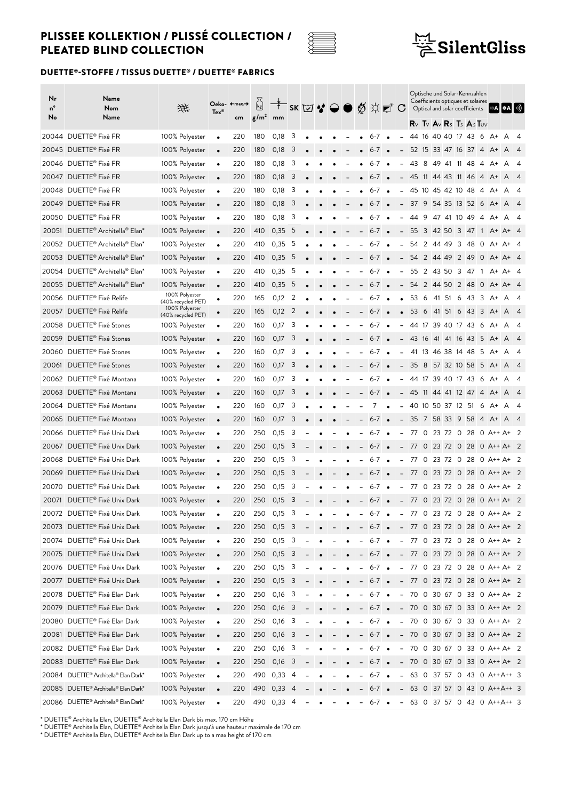



### DUETTE®-STOFFE / TISSUS DUETTE® / DUETTE® FABRICS

| Nr<br>nº<br>No | Name<br>Nom<br>Name                                     | 垪                                    | $\mathsf{Texas}^\circ$ | Oeko- ←max.→<br>cm | $\vec{k}$<br>g/m <sup>2</sup> | mm               |                         |  |  |                          | <sup>Ť</sup> SK⊠❖⊖●∅☆₫°C              |           |                          | $R \vee R \vee R \vee R$ s Ts As Tuv |     |                   |                | Optische und Solar-Kennzahlen<br>Coefficients optiques et solaires<br>Optical and solar coefficients |                         |             | ∥⋇A┃❀A┃्)                                                      |                |
|----------------|---------------------------------------------------------|--------------------------------------|------------------------|--------------------|-------------------------------|------------------|-------------------------|--|--|--------------------------|---------------------------------------|-----------|--------------------------|--------------------------------------|-----|-------------------|----------------|------------------------------------------------------------------------------------------------------|-------------------------|-------------|----------------------------------------------------------------|----------------|
|                | 20044 DUETTE® Fixé FR                                   | 100% Polyester                       | $\bullet$              | 220                | 180                           | 0,18             | 3                       |  |  |                          | $6 - 7$                               | $\bullet$ |                          | 44                                   |     | 16 40 40 17 43    |                |                                                                                                      | - 6                     | A+          | A                                                              | - 4            |
|                | 20045 DUETTE® Fixé FR                                   | 100% Polyester                       | $\bullet$              | 220                | 180                           | 0,18             | 3                       |  |  |                          | $6 - 7$                               |           |                          |                                      |     |                   |                | 52 15 33 47 16 37 4                                                                                  |                         | $A^+$       | A                                                              | $\sqrt{4}$     |
|                | 20046 DUETTE® Fixé FR                                   | 100% Polyester                       | $\bullet$              | 220                | 180                           | 0,18             | 3                       |  |  |                          | $6 - 7$                               |           |                          | 43                                   | -8  | 49 41 11 48       |                |                                                                                                      | -4                      | A+          | A                                                              | -4             |
|                | 20047 DUETTE® Fixé FR                                   | 100% Polyester                       |                        | 220                | 180                           | 0,18             | 3                       |  |  |                          | $6 - 7$                               |           |                          | 45 11 44 43 11 46                    |     |                   |                |                                                                                                      | $\overline{4}$          | $A^+$       | A                                                              | $\overline{4}$ |
|                | 20048 DUETTE® Fixé FR                                   | 100% Polyester                       | $\bullet$              | 220                | 180                           | 0,18             | 3                       |  |  |                          | 6-7                                   |           |                          |                                      |     |                   |                | 45 10 45 42 10 48 4                                                                                  |                         | A+ A        |                                                                | - 4            |
|                | 20049 DUETTE® Fixé FR                                   | 100% Polyester                       | $\bullet$              | 220                | 180                           | 0,18             | 3                       |  |  |                          | $6 - 7$                               | $\bullet$ | -                        |                                      |     |                   |                | 37 9 54 35 13 52 6                                                                                   |                         | A+ A        |                                                                | $\overline{4}$ |
|                | 20050 DUETTE® Fixé FR                                   | 100% Polyester                       | $\bullet$              | 220                | 180                           | 0,18             | 3                       |  |  |                          | $6 - 7$                               |           |                          | 44                                   | -9  | 47 41 10 49       |                |                                                                                                      | -4                      | A+          | A                                                              | 4              |
|                | 20051 DUETTE® Architella® Elan*                         | 100% Polyester                       | $\bullet$              | 220                | 410                           | 0,35             | - 5                     |  |  |                          | $6 - 7$                               |           |                          |                                      |     |                   |                | 55 3 42 50 3 47 1                                                                                    |                         |             | A+ A+ 4                                                        |                |
|                | 20052 DUETTE® Architella® Elan*                         | 100% Polyester                       | $\bullet$              | 220                | 410                           | 0,35             | 5                       |  |  |                          | $6 - 7$                               | $\bullet$ | $\overline{\phantom{a}}$ |                                      |     | 54 2 44 49        |                | 3 48                                                                                                 | $\overline{0}$          | A+          | A+ 4                                                           |                |
|                | 20053 DUETTE® Architella® Elan*                         | 100% Polyester                       | $\bullet$              | 220                | 410                           | 0,35             | - 5                     |  |  |                          | $6 - 7$ $\bullet$                     |           |                          | $-54$ 2 44 49 2 49 0                 |     |                   |                |                                                                                                      |                         |             | A+ A+ 4                                                        |                |
|                | 20054 DUETTE <sup>®</sup> Architella® Elan <sup>*</sup> | 100% Polyester                       | $\bullet$              | 220                | 410                           | 0,35             | -5                      |  |  |                          | $6 - 7$                               |           |                          |                                      |     |                   |                | 55 2 43 50 3 47 1                                                                                    |                         |             | A+ A+ 4                                                        |                |
|                | 20055 DUETTE® Architella® Elan*                         | 100% Polyester                       | $\bullet$              | 220                | 410                           | 0,35             | -5                      |  |  |                          | $6 - 7$                               | $\bullet$ |                          |                                      |     | 54 2 44 50 2 48   |                |                                                                                                      | $\overline{0}$          |             | A+ A+ 4                                                        |                |
|                | 20056 DUETTE® Fixé Relife                               | 100% Polyester                       | $\bullet$              | 220                | 165                           | 0,12             | 2                       |  |  |                          | 6-7                                   |           |                          | 53                                   | - 6 | 41 51             | 6              | -43                                                                                                  | - 3                     | $A^+$       | A                                                              | -4             |
|                | 20057 DUETTE® Fixé Relife                               | (40% recycled PET)<br>100% Polyester | $\bullet$              | 220                | 165                           | 0,12             | 2                       |  |  |                          | $6 - 7$                               | $\bullet$ | $\bullet$                | 53 6                                 |     | 41 51             | 6              | -43                                                                                                  | $\overline{\mathbf{3}}$ | $A^+$       | A                                                              | $\overline{4}$ |
|                | 20058 DUETTE® Fixé Stones                               | (40% recycled PET)<br>100% Polyester | $\bullet$              | 220                | 160                           | 0,17             | 3                       |  |  |                          | $6 - 7$                               |           |                          |                                      |     |                   |                | 44 17 39 40 17 43 6                                                                                  |                         | A+          | A                                                              | -4             |
|                | 20059 DUETTE® Fixé Stones                               | 100% Polyester                       | $\bullet$              | 220                | 160                           | 0,17             | 3                       |  |  |                          | $6 - 7$                               |           |                          | 43 16 41 41 16 43 5                  |     |                   |                |                                                                                                      |                         | $A^+$ $A^-$ |                                                                | $\sqrt{4}$     |
| 20060          | DUETTE <sup>®</sup> Fixé Stones                         | 100% Polyester                       | $\bullet$              | 220                | 160                           | 0,17             | 3                       |  |  |                          | 6-7                                   |           | $\overline{a}$           |                                      |     | 41 13 46 38 14 48 |                |                                                                                                      | - 5                     | A+          | A                                                              | -4             |
| 20061          | DUETTE <sup>®</sup> Fixé Stones                         | 100% Polyester                       | $\bullet$              | 220                | 160                           | 0,17             | 3                       |  |  |                          | $6 - 7$                               |           |                          |                                      |     | 35 8 57 32 10 58  |                |                                                                                                      | 5                       | $A^+$       | A                                                              | $\overline{4}$ |
|                | 20062 DUETTE® Fixé Montana                              | 100% Polyester                       | $\bullet$              | 220                | 160                           | 0,17             | -3                      |  |  |                          | $6 - 7$                               |           |                          | 44 17 39 40 17 43 6                  |     |                   |                |                                                                                                      |                         | A+ A        |                                                                | - 4            |
|                | 20063 DUETTE® Fixé Montana                              | 100% Polyester                       | $\bullet$              | 220                | 160                           | 0,17             | 3                       |  |  |                          | $6 - 7$                               | $\bullet$ | $-$                      | 45 11 44 41 12 47 4                  |     |                   |                |                                                                                                      |                         | $A^+$       | A                                                              | $\overline{4}$ |
|                | 20064 DUETTE® Fixé Montana                              | 100% Polyester                       | $\bullet$              | 220                | 160                           | 0,17             | 3                       |  |  |                          | 7                                     |           |                          | 40 10 50 37 12 51                    |     |                   |                |                                                                                                      | - 6                     | A+          | A                                                              | - 4            |
|                | 20065 DUETTE® Fixé Montana                              | 100% Polyester                       | $\bullet$              | 220                | 160                           | 0,17             | 3                       |  |  |                          | $6 - 7$                               |           |                          |                                      |     | 35 7 58 33 9 58   |                |                                                                                                      | $\overline{4}$          | $A^+$       | A                                                              | $\overline{4}$ |
|                | 20066 DUETTE® Fixé Unix Dark                            | 100% Polyester                       | $\bullet$              | 220                | 250                           | 0,15             | 3                       |  |  |                          | $6 - 7$                               |           |                          | 77                                   | 0   | 23 72             | $\circ$        | - 28                                                                                                 |                         |             | 0 A++ A+ 2                                                     |                |
|                | 20067 DUETTE® Fixé Unix Dark                            | 100% Polyester                       | $\bullet$              | 220                | 250                           | 0,15             | -3                      |  |  |                          | 6-7                                   |           |                          | 77                                   |     | $0\,23\,72$       |                | 0 28                                                                                                 |                         |             | $0$ A++ A+ 2                                                   |                |
| 20068          | DUETTE® Fixé Unix Dark                                  | 100% Polyester                       | $\bullet$              | 220                | 250                           | 0,15             | 3                       |  |  |                          | 6-7                                   | $\bullet$ |                          | 77 0                                 |     | 23 72             | $\overline{0}$ | -28                                                                                                  |                         |             | 0 A++ A+ 2                                                     |                |
| 20069          | DUETTE® Fixé Unix Dark                                  | 100% Polyester                       |                        | 220                | 250                           | 0,15             | 3                       |  |  |                          | $6 - 7$                               | $\bullet$ | $\overline{\phantom{a}}$ |                                      |     |                   |                |                                                                                                      |                         |             | 77 0 23 72 0 28 0 A++ A+ 2                                     |                |
|                | 20070 DUETTE® Fixé Unix Dark                            | 100% Polyester                       | $\bullet$              | 220                | 250                           | 0,15             | -3                      |  |  |                          | $6 - 7$                               |           |                          | 77 0                                 |     |                   |                |                                                                                                      |                         |             | 23 72 0 28 0 A++ A+ 2                                          |                |
|                | 20071 DUETTE® Fixé Unix Dark                            | 100% Polyester                       | $\bullet$              | 220                | 250                           | 0,15             | 3                       |  |  |                          | $6 - 7$                               | $\bullet$ |                          |                                      |     |                   |                |                                                                                                      |                         |             | $-77$ 0 23 72 0 28 0 A++ A+ 2                                  |                |
|                | 20072 DUETTE® Fixé Unix Dark                            | 100% Polyester                       |                        |                    |                               |                  | 3                       |  |  |                          |                                       |           |                          |                                      |     |                   |                |                                                                                                      |                         |             |                                                                |                |
|                | 20073 DUETTE® Fixé Unix Dark                            | 100% Polyester                       | $\bullet$<br>$\bullet$ | 220<br>220         | 250<br>250                    | 0,15<br>$0,15$ 3 |                         |  |  |                          | $6 - / \bullet$<br>$-6-7$ $-$         |           |                          |                                      |     |                   |                |                                                                                                      |                         |             | - 77 0 23 72 0 28 0 A++ A+ 2<br>$-77$ 0 23 72 0 28 0 A++ A+ 2  |                |
|                | 20074 DUETTE® Fixé Unix Dark                            | 100% Polyester                       | $\bullet$              | 220                | 250                           | 0,15             | $\overline{\mathbf{3}}$ |  |  | $\blacksquare$           | $6 - 7$ $\bullet$                     |           |                          |                                      |     |                   |                |                                                                                                      |                         |             | - 77 0 23 72 0 28 0 A++ A+ 2                                   |                |
|                | 20075 DUETTE® Fixé Unix Dark                            | 100% Polyester                       | $\bullet$              | 220                | 250                           | $0,15$ 3         |                         |  |  |                          | $-6-7$ $\bullet$                      |           |                          |                                      |     |                   |                |                                                                                                      |                         |             | $- 77$ 0 23 72 0 28 0 A++ A+ 2                                 |                |
|                | 20076 DUETTE® Fixé Unix Dark                            | 100% Polyester                       |                        | 220                | 250                           | $0,15$ 3         |                         |  |  | -                        | $6 - 7$ $\bullet$                     |           |                          |                                      |     |                   |                |                                                                                                      |                         |             | $- 77$ 0 23 72 0 28 0 A++ A+ 2                                 |                |
|                | 20077 DUETTE® Fixé Unix Dark                            | 100% Polyester                       | $\bullet$<br>$\bullet$ | 220                | 250                           | $0,15$ 3         |                         |  |  | $\overline{\phantom{a}}$ | $6 - 7$ $\bullet$                     |           |                          |                                      |     |                   |                |                                                                                                      |                         |             | $- 77$ 0 23 72 0 28 0 A++ A+ 2                                 |                |
|                | 20078 DUETTE® Fixé Elan Dark                            | 100% Polyester                       |                        | 220                | 250                           | 0,16             | $\overline{\mathbf{3}}$ |  |  |                          | $6 - 7$ $\bullet$                     |           |                          |                                      |     |                   |                |                                                                                                      |                         |             | - 70 0 30 67 0 33 0 A++ A+ 2                                   |                |
|                | 20079 DUETTE® Fixé Elan Dark                            | 100% Polyester                       | $\bullet$              | 220                | 250                           | 0,16             | $\overline{\mathbf{3}}$ |  |  |                          | $6 - 7$ $\bullet$                     |           |                          |                                      |     |                   |                |                                                                                                      |                         |             | $- 70$ 0 30 67 0 33 0 A++ A+ 2                                 |                |
|                | 20080 DUETTE® Fixé Elan Dark                            | 100% Polyester                       | $\bullet$              |                    | 250                           | 0,16             | $\overline{\mathbf{3}}$ |  |  | $\overline{\phantom{a}}$ | $6-7$ $\bullet$                       |           |                          |                                      |     |                   |                |                                                                                                      |                         |             | $-70$ 0 30 67 0 33 0 A++ A+ 2                                  |                |
|                | 20081 DUETTE® Fixé Elan Dark                            | 100% Polyester                       | $\bullet$              | 220                |                               |                  |                         |  |  |                          |                                       |           |                          |                                      |     |                   |                |                                                                                                      |                         |             |                                                                |                |
|                | 20082 DUETTE® Fixé Elan Dark                            |                                      | $\bullet$              | 220<br>220         | 250<br>250                    | $0,16$ 3<br>0,16 | 3                       |  |  |                          | $-6-7$ $\bullet$<br>$6 - 7$ $\bullet$ |           |                          |                                      |     |                   |                |                                                                                                      |                         |             | $-70$ 0 30 67 0 33 0 A++ A+ 2<br>$-70$ 0 30 67 0 33 0 A++ A+ 2 |                |
|                | 20083 DUETTE® Fixé Elan Dark                            | 100% Polyester<br>100% Polyester     | $\bullet$              |                    | 250                           | 0,16             | $\overline{\mathbf{3}}$ |  |  | $\overline{\phantom{a}}$ |                                       |           |                          |                                      |     |                   |                |                                                                                                      |                         |             | $-70$ 0 30 67 0 33 0 A++ A+ 2                                  |                |
|                | 20084 DUETTE <sup>®</sup> Architella® Elan Dark*        | 100% Polyester                       | $\bullet$              | 220                |                               | 490 0,33 4       |                         |  |  |                          | $-6-7$ $\bullet$                      |           |                          |                                      |     |                   |                |                                                                                                      |                         |             | $- 63$ 0 37 57 0 43 0 A++A++ 3                                 |                |
|                | 20085 DUETTE <sup>®</sup> Architella® Elan Dark*        | 100% Polyester                       | $\bullet$<br>$\bullet$ | 220<br>220         |                               | 490 0,33 4       |                         |  |  | -                        | $6 - 7$ $\bullet$<br>$6-7$ $\bullet$  |           |                          |                                      |     |                   |                |                                                                                                      |                         |             | $-63$ 0 37 57 0 43 0 A++A++ 3                                  |                |
|                | 20086 DUETTE® Architella® Elan Dark*                    | 100% Polyester                       | $\bullet$              | 220                |                               | 490 0,33 4       |                         |  |  |                          | $6-7$ $\bullet$                       |           |                          |                                      |     |                   |                |                                                                                                      |                         |             | - 63 0 37 57 0 43 0 A++A++ 3                                   |                |
|                |                                                         |                                      |                        |                    |                               |                  |                         |  |  |                          |                                       |           |                          |                                      |     |                   |                |                                                                                                      |                         |             |                                                                |                |

\* DUETTE® Architella Elan, DUETTE® Architella Elan Dark bis max. 170 cm Höhe

\* DUETTE® Architella Elan, DUETTE® Architella Elan Dark jusqu'à une hauteur maximale de 170 cm

\* DUETTE® Architella Elan, DUETTE® Architella Elan Dark up to a max height of 170 cm